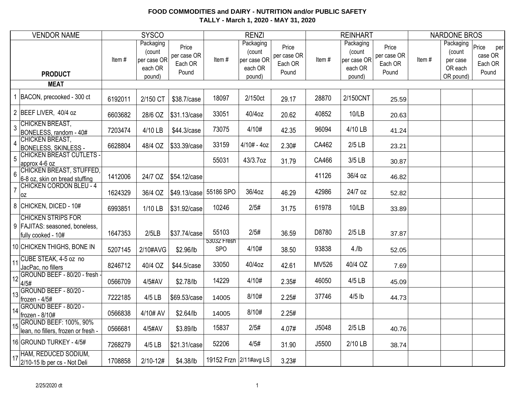| <b>VENDOR NAME</b>                                                                   |         | <b>SYSCO</b>                                            |                                          |                      | <b>RENZI</b>                                            |                                          |       | <b>REINHART</b>                                         |                                          |       | <b>NARDONE BROS</b>                                     |                                             |
|--------------------------------------------------------------------------------------|---------|---------------------------------------------------------|------------------------------------------|----------------------|---------------------------------------------------------|------------------------------------------|-------|---------------------------------------------------------|------------------------------------------|-------|---------------------------------------------------------|---------------------------------------------|
| <b>PRODUCT</b>                                                                       | Item#   | Packaging<br>(count<br>per case OR<br>each OR<br>pound) | Price<br>per case OR<br>Each OR<br>Pound | Item#                | Packaging<br>(count<br>per case OR<br>each OR<br>pound) | Price<br>per case OR<br>Each OR<br>Pound | Item# | Packaging<br>(count<br>per case OR<br>each OR<br>pound) | Price<br>per case OR<br>Each OR<br>Pound | Item# | Packaging<br>(count<br>per case<br>OR each<br>OR pound) | Price<br>per<br>case OR<br>Each OR<br>Pound |
| <b>MEAT</b>                                                                          |         |                                                         |                                          |                      |                                                         |                                          |       |                                                         |                                          |       |                                                         |                                             |
| BACON, precooked - 300 ct                                                            | 6192011 | 2/150 CT                                                | \$38.7/case                              | 18097                | 2/150ct                                                 | 29.17                                    | 28870 | 2/150CNT                                                | 25.59                                    |       |                                                         |                                             |
| 2 BEEF LIVER, 40/4 oz                                                                | 6603682 | 28/6 OZ                                                 | \$31.13/case                             | 33051                | 40/4oz                                                  | 20.62                                    | 40852 | 10/LB                                                   | 20.63                                    |       |                                                         |                                             |
| CHICKEN BREAST,<br>$\overline{3}$<br>BONELESS, random - 40#                          | 7203474 | 4/10 LB                                                 | \$44.3/case                              | 73075                | 4/10#                                                   | 42.35                                    | 96094 | 4/10 LB                                                 | 41.24                                    |       |                                                         |                                             |
| <b>CHICKEN BREAST,</b><br>$\overline{4}$<br>BONELESS, SKINLESS -                     | 6628804 | 48/4 OZ                                                 | \$33.39/case                             | 33159                | $4/10# - 4oz$                                           | 2.30#                                    | CA462 | $2/5$ LB                                                | 23.21                                    |       |                                                         |                                             |
| <b>CHICKEN BREAST CUTLETS -</b><br>$\overline{5}$<br>approx 4-6 oz                   |         |                                                         |                                          | 55031                | 43/3.7oz                                                | 31.79                                    | CA466 | 3/5 LB                                                  | 30.87                                    |       |                                                         |                                             |
| <b>CHICKEN BREAST, STUFFED,</b><br>$6\phantom{1}6$<br>6-8 oz, skin on bread stuffing | 1412006 | 24/7 OZ                                                 | \$54.12/case                             |                      |                                                         |                                          | 41126 | 36/4 oz                                                 | 46.82                                    |       |                                                         |                                             |
| <b>CHICKEN CORDON BLEU - 4</b><br>$\overline{7}$<br>0Z                               | 1624329 | 36/4 OZ                                                 | \$49.13/case                             | 55186 SPO            | 36/4oz                                                  | 46.29                                    | 42986 | 24/7 oz                                                 | 52.82                                    |       |                                                         |                                             |
| 8 CHICKEN, DICED - 10#                                                               | 6993851 | 1/10 LB                                                 | \$31.92/case                             | 10246                | 2/5#                                                    | 31.75                                    | 61978 | 10/LB                                                   | 33.89                                    |       |                                                         |                                             |
| <b>CHICKEN STRIPS FOR</b><br>9 FAJITAS: seasoned, boneless,<br>fully cooked - 10#    | 1647353 | 2/5LB                                                   | \$37.74/case                             | 55103<br>53032 Fresh | 2/5#                                                    | 36.59                                    | D8780 | $2/5$ LB                                                | 37.87                                    |       |                                                         |                                             |
| 10 CHICKEN THIGHS, BONE IN                                                           | 5207145 | 2/10#AVG                                                | \$2.96/lb                                | <b>SPO</b>           | 4/10#                                                   | 38.50                                    | 93838 | $4$ ./lb                                                | 52.05                                    |       |                                                         |                                             |
| CUBE STEAK, 4-5 oz no<br>11<br>JacPac, no fillers                                    | 8246712 | 40/4 OZ                                                 | \$44.5/case                              | 33050                | 40/4oz                                                  | 42.61                                    | MV526 | 40/4 OZ                                                 | 7.69                                     |       |                                                         |                                             |
| GROUND BEEF - 80/20 - fresh -<br>12<br>4/5#                                          | 0566709 | 4/5#AV                                                  | \$2.78/lb                                | 14229                | 4/10#                                                   | 2.35#                                    | 46050 | 4/5 LB                                                  | 45.09                                    |       |                                                         |                                             |
| $\frac{1}{13}$ GROUND BEEF - 80/20 -<br>frozen - $4/5#$                              | 7222185 | 4/5 LB                                                  | \$69.53/case                             | 14005                | 8/10#                                                   | 2.25#                                    | 37746 | $4/5$ lb                                                | 44.73                                    |       |                                                         |                                             |
| GROUND BEEF - 80/20 -<br>14<br>frozen - 8/10#                                        | 0566838 | 4/10# AV                                                | \$2.64/lb                                | 14005                | 8/10#                                                   | 2.25#                                    |       |                                                         |                                          |       |                                                         |                                             |
| <b>GROUND BEEF: 100%, 90%</b><br>15<br>lean, no fillers, frozen or fresh -           | 0566681 | 4/5#AV                                                  | \$3.89/lb                                | 15837                | 2/5#                                                    | 4.07#                                    | J5048 | $2/5$ LB                                                | 40.76                                    |       |                                                         |                                             |
| 16 GROUND TURKEY - 4/5#                                                              | 7268279 | 4/5 LB                                                  | \$21.31/case                             | 52206                | 4/5#                                                    | 31.90                                    | J5500 | 2/10 LB                                                 | 38.74                                    |       |                                                         |                                             |
| HAM, REDUCED SODIUM,<br>17<br>2/10-15 lb per cs - Not Deli                           | 1708858 | $2/10 - 12#$                                            | \$4.38/lb                                |                      | 19152 Frzn 2/11#avg LS                                  | 3.23#                                    |       |                                                         |                                          |       |                                                         |                                             |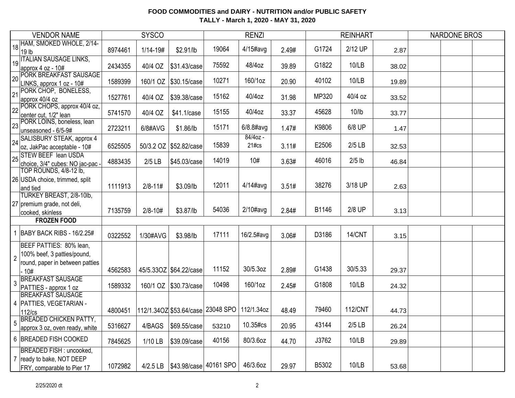|                | <b>VENDOR NAME</b>                                                                                  |         | <b>SYSCO</b> |                         |                                     | <b>RENZI</b>        |       |       | <b>REINHART</b>   |       | <b>NARDONE BROS</b> |  |
|----------------|-----------------------------------------------------------------------------------------------------|---------|--------------|-------------------------|-------------------------------------|---------------------|-------|-------|-------------------|-------|---------------------|--|
|                | 18 HAM, SMOKED WHOLE, 2/14-<br>19 lb                                                                | 8974461 | 1/14-19#     | \$2.91/lb               | 19064                               | $4/15$ #avg         | 2.49# | G1724 | 2/12 UP           | 2.87  |                     |  |
| 19             | <b>ITALIAN SAUSAGE LINKS,</b><br>approx 4 oz - 10#                                                  | 2434355 | 40/4 OZ      | \$31.43/case            | 75592                               | 48/4oz              | 39.89 | G1822 | 10/LB             | 38.02 |                     |  |
|                | 20 PORK BREAKFAST SAUSAGE<br>LINKS, approx 1 oz - 10#                                               | 1589399 |              | 160/1 OZ   \$30.15/case | 10271                               | 160/1oz             | 20.90 | 40102 | 10/LB             | 19.89 |                     |  |
|                | 21 PORK CHOP, BONELESS,<br>approx 40/4 oz                                                           | 1527761 | 40/4 OZ      | \$39.38/case            | 15162                               | 40/4oz              | 31.98 | MP320 | 40/4 oz           | 33.52 |                     |  |
|                | 22 PORK CHOPS, approx 40/4 oz,<br>center cut, 1/2" lean                                             | 5741570 | 40/4 OZ      | \$41.1/case             | 15155                               | 40/4oz              | 33.37 | 45628 | 10/l <sub>b</sub> | 33.77 |                     |  |
|                | 23 PORK LOINS, boneless, lean<br>unseasoned - 6/5-9#                                                | 2723211 | 6/8#AVG      | \$1.86/lb               | 15171                               | $6/8.8$ #avg        | 1.47# | K9806 | 6/8 UP            | 1.47  |                     |  |
| 24             | SALISBURY STEAK, approx 4<br>oz, JakPac acceptable - 10#                                            | 6525505 |              | 50/3.2 OZ \$52.82/case  | 15839                               | $84/40z -$<br>21#cs | 3.11# | E2506 | $2/5$ LB          | 32.53 |                     |  |
|                | 25 STEW BEEF lean USDA<br>choice, 3/4" cubes: NO jac-pac -                                          | 4883435 | $2/5$ LB     | \$45.03/case            | 14019                               | 10#                 | 3.63# | 46016 | $2/5$ lb          | 46.84 |                     |  |
|                | TOP ROUNDS, 4/8-12 lb,<br>26 USDA choice, trimmed, split<br>and tied                                | 1111913 | $2/8 - 11#$  | \$3.09/lb               | 12011                               | $4/14$ #avg         | 3.51# | 38276 | 3/18 UP           | 2.63  |                     |  |
|                | TURKEY BREAST, 2/8-10lb,<br>27 premium grade, not deli,<br>cooked, skinless                         | 7135759 | $2/8 - 10#$  | \$3.87/lb               | 54036                               | $2/10\#avg$         | 2.84# | B1146 | 2/8 UP            | 3.13  |                     |  |
|                | <b>FROZEN FOOD</b>                                                                                  |         |              |                         |                                     |                     |       |       |                   |       |                     |  |
|                | 1   BABY BACK RIBS - 16/2.25#                                                                       | 0322552 | 1/30#AVG     | \$3.98/lb               | 17111                               | 16/2.5#avg          | 3.06# | D3186 | 14/CNT            | 3.15  |                     |  |
| $\overline{2}$ | BEEF PATTIES: 80% lean,<br>100% beef, 3 patties/pound,<br>round, paper in between patties<br>$-10#$ | 4562583 |              | 45/5.33OZ \$64.22/case  | 11152                               | 30/5.3oz            | 2.89# | G1438 | 30/5.33           | 29.37 |                     |  |
| 3              | <b>BREAKFAST SAUSAGE</b><br>PATTIES - approx 1 oz                                                   | 1589332 |              | 160/1 OZ \\$30.73/case  | 10498                               | 160/1oz             | 2.45# | G1808 | 10/LB             | 24.32 |                     |  |
|                | <b>BREAKFAST SAUSAGE</b><br>4   PATTIES, VEGETARIAN -<br>$112$ / $cs$                               | 4800451 |              |                         | 112/1.34OZ \$53.64/case 23048 SPO   | 112/1.34oz          | 48.49 | 79460 | <b>112/CNT</b>    | 44.73 |                     |  |
|                | <b>BREADED CHICKEN PATTY,</b><br>approx 3 oz, oven ready, white                                     | 5316627 | 4/BAGS       | \$69.55/case            | 53210                               | 10.35#cs            | 20.95 | 43144 | $2/5$ LB          | 26.24 |                     |  |
|                | 6 BREADED FISH COOKED                                                                               | 7845625 | $1/10$ LB    | \$39.09/case            | 40156                               | 80/3.6oz            | 44.70 | J3762 | 10/LB             | 29.89 |                     |  |
|                | <b>BREADED FISH: uncooked,</b><br>7 ready to bake, NOT DEEP<br>FRY, comparable to Pier 17           | 1072982 |              |                         | 4/2.5 LB   \$43.98/case   40161 SPO | 46/3.6oz            | 29.97 | B5302 | 10/LB             | 53.68 |                     |  |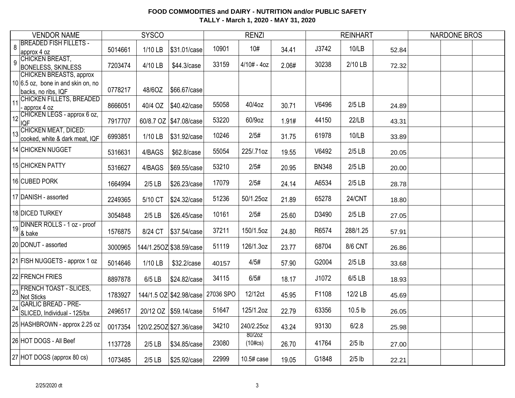| <b>VENDOR NAME</b>                                              |         | <b>SYSCO</b> |                         |           | <b>RENZI</b>         |       |              | <b>REINHART</b> |       | <b>NARDONE BROS</b> |  |
|-----------------------------------------------------------------|---------|--------------|-------------------------|-----------|----------------------|-------|--------------|-----------------|-------|---------------------|--|
| <b>BREADED FISH FILLETS -</b><br>8<br>approx 4 oz               | 5014661 | 1/10 LB      | \$31.01/case            | 10901     | 10#                  | 34.41 | J3742        | 10/LB           | 52.84 |                     |  |
| CHICKEN BREAST,<br>9<br><b>BONELESS, SKINLESS</b>               | 7203474 | 4/10 LB      | \$44.3/case             | 33159     | $4/10# - 4oz$        | 2.06# | 30238        | 2/10 LB         | 72.32 |                     |  |
| CHICKEN BREASTS, approx<br>$10 6.5$ oz, bone in and skin on, no |         |              |                         |           |                      |       |              |                 |       |                     |  |
| backs, no ribs, IQF                                             | 0778217 | 48/6OZ       | \$66.67/case            |           |                      |       |              |                 |       |                     |  |
| CHICKEN FILLETS, BREADED<br>11<br>approx 4 oz                   | 8666051 | 40/4 OZ      | \$40.42/case            | 55058     | 40/4oz               | 30.71 | V6496        | $2/5$ LB        | 24.89 |                     |  |
| 12 CHICKEN LEGS - approx 6 oz,<br><b>IQF</b>                    | 7917707 |              | 60/8.7 OZ \$47.08/case  | 53220     | 60/9oz               | 1.91# | 44150        | 22/LB           | 43.31 |                     |  |
| 13 CHICKEN MEAT, DICED:<br>cooked, white & dark meat, IQF       | 6993851 | 1/10 LB      | \$31.92/case            | 10246     | 2/5#                 | 31.75 | 61978        | 10/LB           | 33.89 |                     |  |
| 14 CHICKEN NUGGET                                               | 5316631 | 4/BAGS       | \$62.8/case             | 55054     | 225/.71oz            | 19.55 | V6492        | $2/5$ LB        | 20.05 |                     |  |
| 15 CHICKEN PATTY                                                | 5316627 | 4/BAGS       | \$69.55/case            | 53210     | 2/5#                 | 20.95 | <b>BN348</b> | $2/5$ LB        | 20.00 |                     |  |
| 16 CUBED PORK                                                   | 1664994 | $2/5$ LB     | \$26.23/case            | 17079     | 2/5#                 | 24.14 | A6534        | $2/5$ LB        | 28.78 |                     |  |
| 17 DANISH - assorted                                            | 2249365 | 5/10 CT      | \$24.32/case            | 51236     | 50/1.25oz            | 21.89 | 65278        | <b>24/CNT</b>   | 18.80 |                     |  |
| 18 DICED TURKEY                                                 | 3054848 | $2/5$ LB     | \$26.45/case            | 10161     | 2/5#                 | 25.60 | D3490        | $2/5$ LB        | 27.05 |                     |  |
| 19 DINNER ROLLS - 1 oz - proof<br>& bake                        | 1576875 | 8/24 CT      | \$37.54/case            | 37211     | 150/1.5oz            | 24.80 | R6574        | 288/1.25        | 57.91 |                     |  |
| 20 DONUT - assorted                                             | 3000965 |              | 144/1.25OZ \$38.59/case | 51119     | 126/1.3oz            | 23.77 | 68704        | <b>8/6 CNT</b>  | 26.86 |                     |  |
| 21 FISH NUGGETS - approx 1 oz                                   | 5014646 | 1/10 LB      | \$32.2/case             | 40157     | 4/5#                 | 57.90 | G2004        | $2/5$ LB        | 33.68 |                     |  |
| 22 FRENCH FRIES                                                 | 8897878 | 6/5 LB       | \$24.82/case            | 34115     | 6/5#                 | 18.17 | J1072        | $6/5$ LB        | 18.93 |                     |  |
| 23 FRENCH TOAST - SLICES,<br>Not Sticks                         | 1783927 |              | 144/1.5 OZ \$42.98/case | 27036 SPO | 12/12ct              | 45.95 | F1108        | 12/2 LB         | 45.69 |                     |  |
| 24 GARLIC BREAD - PRE-<br>SLICED, Individual - 125/bx           | 2496517 |              | 20/12 OZ \$59.14/case   | 51647     | 125/1.2oz            | 22.79 | 63356        | 10.5 lb         | 26.05 |                     |  |
| 25 HASHBROWN - approx 2.25 oz                                   | 0017354 |              | 120/2.25OZ \$27.36/case | 34210     | 240/2.25oz           | 43.24 | 93130        | 6/2.8           | 25.98 |                     |  |
| 26 HOT DOGS - All Beef                                          | 1137728 | $2/5$ LB     | \$34.85/case            | 23080     | 80/2oz<br>$(10\#cs)$ | 26.70 | 41764        | $2/5$ lb        | 27.00 |                     |  |
| 27 HOT DOGS (approx 80 cs)                                      | 1073485 | $2/5$ LB     | \$25.92/case            | 22999     | 10.5# case           | 19.05 | G1848        | $2/5$ lb        | 22.21 |                     |  |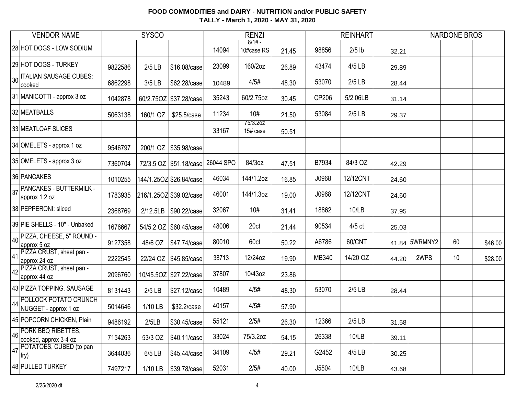| <b>VENDOR NAME</b>                                    |         | <b>SYSCO</b> |                                      |       | <b>RENZI</b>           |       |       | <b>REINHART</b> |       |               | <b>NARDONE BROS</b> |         |
|-------------------------------------------------------|---------|--------------|--------------------------------------|-------|------------------------|-------|-------|-----------------|-------|---------------|---------------------|---------|
| 28 HOT DOGS - LOW SODIUM                              |         |              |                                      | 14094 | $8/1# -$<br>10#case RS | 21.45 | 98856 | $2/5$ lb        | 32.21 |               |                     |         |
| 29 HOT DOGS - TURKEY                                  | 9822586 | $2/5$ LB     | \$16.08/case                         | 23099 | 160/2oz                | 26.89 | 43474 | 4/5 LB          | 29.89 |               |                     |         |
| <b>ITALIAN SAUSAGE CUBES:</b><br>30<br>cooked         | 6862298 | 3/5 LB       | \$62.28/case                         | 10489 | 4/5#                   | 48.30 | 53070 | $2/5$ LB        | 28.44 |               |                     |         |
| 31 MANICOTTI - approx 3 oz                            | 1042878 |              | 60/2.75OZ \$37.28/case               | 35243 | 60/2.75oz              | 30.45 | CP206 | 5/2.06LB        | 31.14 |               |                     |         |
| 32 MEATBALLS                                          | 5063138 | 160/1 OZ     | \$25.5/case                          | 11234 | 10#                    | 21.50 | 53084 | $2/5$ LB        | 29.37 |               |                     |         |
| 33 MEATLOAF SLICES                                    |         |              |                                      | 33167 | 75/3.2oz<br>15# case   | 50.51 |       |                 |       |               |                     |         |
| 34 OMELETS - approx 1 oz                              | 9546797 |              | 200/1 OZ \\$35.98/case               |       |                        |       |       |                 |       |               |                     |         |
| 35 OMELETS - approx 3 oz                              | 7360704 |              | 72/3.5 OZ   \$51.18/case   26044 SPO |       | 84/3oz                 | 47.51 | B7934 | 84/3 OZ         | 42.29 |               |                     |         |
| 36 PANCAKES                                           | 1010255 |              | 144/1.25OZ \$26.84/case              | 46034 | 144/1.2oz              | 16.85 | J0968 | 12/12CNT        | 24.60 |               |                     |         |
| <b>PANCAKES - BUTTERMILK -</b><br>37<br>approx 1.2 oz | 1783935 |              | 216/1.25OZ \$39.02/case              | 46001 | 144/1.3oz              | 19.00 | J0968 | 12/12CNT        | 24.60 |               |                     |         |
| 38 PEPPERONI: sliced                                  | 2368769 | 2/12.5LB     | \$90.22/case                         | 32067 | 10#                    | 31.41 | 18862 | 10/LB           | 37.95 |               |                     |         |
| 39 PIE SHELLS - 10" - Unbaked                         | 1676667 |              | 54/5.2 OZ \$60.45/case               | 48006 | 20ct                   | 21.44 | 90534 | $4/5$ ct        | 25.03 |               |                     |         |
| 40 PIZZA, CHEESE, 5" ROUND -<br>approx 5 oz           | 9127358 | 48/6 OZ      | \$47.74/case                         | 80010 | 60ct                   | 50.22 | A6786 | 60/CNT          |       | 41.84 5WRMNY2 | 60                  | \$46.00 |
| PIZZA CRUST, sheet pan -<br>41<br>approx 24 oz        | 2222545 |              | 22/24 OZ   \$45.85/case              | 38713 | 12/24oz                | 19.90 | MB340 | 14/20 OZ        | 44.20 | 2WPS          | 10                  | \$28.00 |
| 42 PIZZA CRUST, sheet pan -<br>approx 44 oz           | 2096760 |              | 10/45.5OZ \$27.22/case               | 37807 | 10/43oz                | 23.86 |       |                 |       |               |                     |         |
| 43 PIZZA TOPPING, SAUSAGE                             | 8131443 | $2/5$ LB     | \$27.12/case                         | 10489 | 4/5#                   | 48.30 | 53070 | $2/5$ LB        | 28.44 |               |                     |         |
| POLLOCK POTATO CRUNCH<br>44<br>NUGGET - approx 1 oz   | 5014646 | 1/10 LB      | \$32.2/case                          | 40157 | 4/5#                   | 57.90 |       |                 |       |               |                     |         |
| 45 POPCORN CHICKEN, Plain                             | 9486192 | 2/5LB        | \$30.45/case                         | 55121 | 2/5#                   | 26.30 | 12366 | $2/5$ LB        | 31.58 |               |                     |         |
| PORK BBQ RIBETTES,<br>46<br>cooked, approx 3-4 oz     | 7154263 | 53/3 OZ      | \$40.11/case                         | 33024 | 75/3.2oz               | 54.15 | 26338 | 10/LB           | 39.11 |               |                     |         |
| POTATOES, CUBED (to pan<br>47<br>fry)                 | 3644036 | 6/5 LB       | \$45.44/case                         | 34109 | 4/5#                   | 29.21 | G2452 | 4/5 LB          | 30.25 |               |                     |         |
| 48 PULLED TURKEY                                      | 7497217 | $1/10$ LB    | \$39.78/case                         | 52031 | 2/5#                   | 40.00 | J5504 | 10/LB           | 43.68 |               |                     |         |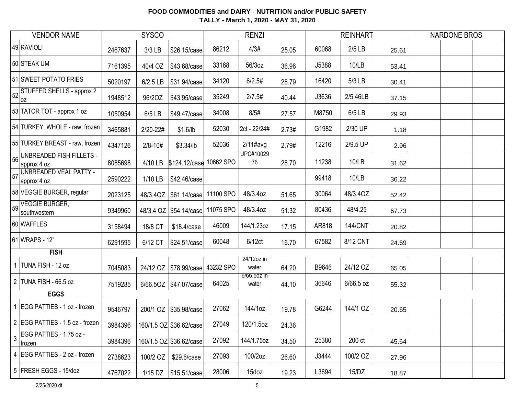| <b>VENDOR NAME</b>                                     |         | <b>SYSCO</b> |                          |           | <b>RENZI</b>         |       |       | <b>REINHART</b> |       | <b>NARDONE BROS</b> |  |
|--------------------------------------------------------|---------|--------------|--------------------------|-----------|----------------------|-------|-------|-----------------|-------|---------------------|--|
| 49 RAVIOLI                                             | 2467637 | 3/3 LB       | \$26.15/case             | 86212     | 4/3#                 | 25.05 | 60068 | $2/5$ LB        | 25.61 |                     |  |
| 50 STEAK UM                                            | 7161395 | 40/4 OZ      | \$43.68/case             | 33168     | 56/3oz               | 36.96 | J5388 | 10/LB           | 53.41 |                     |  |
| 51 SWEET POTATO FRIES                                  | 5020197 | 6/2.5 LB     | \$31.94/case             | 34120     | 6/2.5#               | 28.79 | 16420 | 5/3 LB          | 30.41 |                     |  |
| 52STUFFED SHELLS - approx 2<br> oz                     | 1948512 | 96/20Z       | \$43.95/case             | 35249     | 2/7.5#               | 40.44 | J3636 | 2/5.46LB        | 37.15 |                     |  |
| 53 TATOR TOT - approx 1 oz                             | 1050954 | 6/5 LB       | \$49.47/case             | 34008     | 8/5#                 | 27.57 | M8750 | 6/5 LB          | 29.93 |                     |  |
| 54 TURKEY, WHOLE - raw, frozen                         | 3465881 | 2/20-22#     | \$1.6/lb                 | 52030     | 2ct - 22/24#         | 2.73# | G1982 | 2/30 UP         | 1.18  |                     |  |
| 55 TURKEY BREAST - raw, frozen                         | 4347126 | $2/8 - 10#$  | $$3.34$ /lb              | 52036     | $2/11$ #avg          | 2.79# | 12216 | 2/9.5 UP        | 2.96  |                     |  |
| $\frac{1}{56}$ UNBREADED FISH FILLETS -<br>approx 4 oz | 8085698 | 4/10 LB      | \$124.12/case 10662 SPO  |           | UPC#10029<br>76      | 28.70 | 11238 | 10/LB           | 31.62 |                     |  |
| 57 UNBREADED VEAL PATTY -<br>approx 4 oz               | 2590222 | 1/10 LB      | \$42.46/case             |           |                      |       | 99418 | 10/LB           | 36.22 |                     |  |
| 58 VEGGIE BURGER, regular                              | 2023125 |              | 48/3.40Z   \$61.14/case  | 11100 SPO | 48/3.4oz             | 51.65 | 30064 | 48/3.40Z        | 52.42 |                     |  |
| $\frac{1}{59}$ VEGGIE BURGER,<br>southwestern          | 9349960 |              | 48/3.4 OZ   \$54.14/case | 11075 SPO | 48/3.4oz             | 51.32 | 80436 | 48/4.25         | 67.73 |                     |  |
| 60 WAFFLES                                             | 3158494 | 18/8 CT      | \$18.4/case              | 46009     | 144/1.23oz           | 17.15 | AR818 | <b>144/CNT</b>  | 20.82 |                     |  |
| 61 WRAPS - 12"                                         | 6291595 | 6/12 CT      | \$24.51/case             | 60048     | 6/12ct               | 16.70 | 67582 | 8/12 CNT        | 24.69 |                     |  |
| <b>FISH</b>                                            |         |              |                          |           |                      |       |       |                 |       |                     |  |
| TUNA FISH - 12 oz                                      | 7045083 |              | 24/12 OZ   \$78.99/case  | 43232 SPO | 24/12oz in<br>water  | 64.20 | B9646 | 24/12 OZ        | 65.05 |                     |  |
| 2 TUNA FISH - 66.5 oz                                  | 7519285 |              | 6/66.5OZ   \$47.07/case  | 64025     | 6/66.50Z IN<br>water | 44.10 | 36646 | 6/66.5 oz       | 55.32 |                     |  |
| <b>EGGS</b>                                            |         |              |                          |           |                      |       |       |                 |       |                     |  |
| EGG PATTIES - 1 oz - frozen                            | 9546797 | 200/1 OZ     | \$35.98/case             | 27062     | 144/1oz              | 19.78 | G6244 | 144/1 OZ        | 20.65 |                     |  |
| 2 EGG PATTIES - 1.5 oz - frozen                        | 3984396 |              | 160/1.5 OZ \$36.62/case  | 27049     | 120/1.5oz            | 24.36 |       |                 |       |                     |  |
| $\frac{1}{3}$ EGG PATTIES - 1.75 oz -<br>frozen        | 3984396 |              | 160/1.5 OZ \$36.62/case  | 27092     | 144/1.75oz           | 34.50 | 25380 | 200 ct          | 45.64 |                     |  |
| 4 EGG PATTIES - 2 oz - frozen                          | 2738623 |              | 100/2 OZ   \$29.6/case   | 27093     | 100/2oz              | 26.60 | J3444 | 100/2 OZ        | 27.96 |                     |  |
| 5 FRESH EGGS - 15/doz                                  | 4767022 |              | 1/15 DZ   \$15.51/case   | 28006     | 15doz                | 19.23 | L3694 | 15/DZ           | 18.87 |                     |  |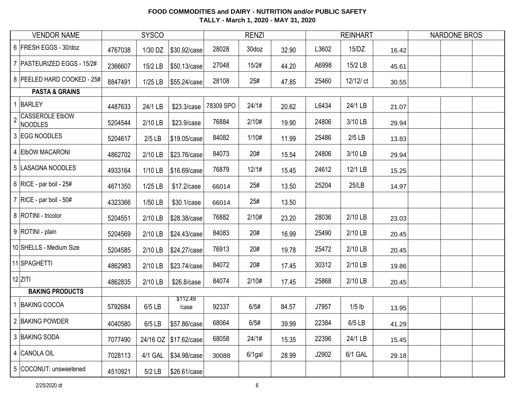| <b>VENDOR NAME</b>                                         |         | <b>SYSCO</b> |                        |           | <b>RENZI</b> |       |       | <b>REINHART</b> |       | <b>NARDONE BROS</b> |  |
|------------------------------------------------------------|---------|--------------|------------------------|-----------|--------------|-------|-------|-----------------|-------|---------------------|--|
| 6 FRESH EGGS - 30/doz                                      | 4767038 | 1/30 DZ      | \$30.92/case           | 28028     | 30doz        | 32.90 | L3602 | 15/DZ           | 16.42 |                     |  |
| 7   PASTEURIZED EGGS - 15/2#                               | 2366607 | 15/2 LB      | \$50.13/case           | 27048     | 15/2#        | 44.20 | A6998 | 15/2 LB         | 45.61 |                     |  |
| 8 PEELED HARD COOKED - 25#                                 | 8847491 | $1/25$ LB    | \$55.24/case           | 28108     | 25#          | 47.85 | 25460 | 12/12/ ct       | 30.55 |                     |  |
| <b>PASTA &amp; GRAINS</b>                                  |         |              |                        |           |              |       |       |                 |       |                     |  |
| <b>BARLEY</b>                                              | 4487633 | 24/1 LB      | \$23.3/case            | 78309 SPO | 24/1#        | 20.62 | L6434 | 24/1 LB         | 21.07 |                     |  |
| <b>CASSEROLE EIbOW</b><br>$\overline{2}$<br><b>NOODLES</b> | 5204544 | 2/10 LB      | \$23.9/case            | 76884     | 2/10#        | 19.90 | 24806 | 3/10 LB         | 29.94 |                     |  |
| 3 EGG NOODLES                                              | 5204617 | $2/5$ LB     | \$19.05/case           | 84082     | 1/10#        | 11.99 | 25486 | $2/5$ LB        | 13.83 |                     |  |
| 4 EIbOW MACARONI                                           | 4862702 | 2/10 LB      | \$23.76/case           | 84073     | 20#          | 15.54 | 24806 | 3/10 LB         | 29.94 |                     |  |
| 5 LASAGNA NOODLES                                          | 4933164 | 1/10 LB      | \$16.69/case           | 76879     | 12/1#        | 15.45 | 24612 | 12/1 LB         | 15.25 |                     |  |
| 6   RICE - par boil - $25#$                                | 4671350 | 1/25 LB      | \$17.2/case            | 66014     | 25#          | 13.50 | 25204 | 25/LB           | 14.97 |                     |  |
| 7   RICE - par boil - $50#$                                | 4323366 | 1/50 LB      | \$30.1/case            | 66014     | 25#          | 13.50 |       |                 |       |                     |  |
| 8 ROTINI - tricolor                                        | 5204551 | 2/10 LB      | \$28.38/case           | 76882     | 2/10#        | 23.20 | 28036 | 2/10 LB         | 23.03 |                     |  |
| 9 ROTINI - plain                                           | 5204569 | 2/10 LB      | \$24.43/case           | 84083     | 20#          | 16.99 | 25490 | 2/10 LB         | 20.45 |                     |  |
| 10 SHELLS - Medium Size                                    | 5204585 | 2/10 LB      | \$24.27/case           | 76913     | 20#          | 19.78 | 25472 | 2/10 LB         | 20.45 |                     |  |
| 11 SPAGHETTI                                               | 4862983 | 2/10 LB      | \$23.74/case           | 84072     | 20#          | 17.45 | 30312 | 2/10 LB         | 19.86 |                     |  |
| $12$ ZITI                                                  | 4862835 | 2/10 LB      | \$26.8/case            | 84074     | 2/10#        | 17.45 | 25868 | 2/10 LB         | 20.45 |                     |  |
| <b>BAKING PRODUCTS</b>                                     |         |              |                        |           |              |       |       |                 |       |                     |  |
| 1 BAKING COCOA                                             | 5792684 | 6/5 LB       | \$112.49<br>/case      | 92337     | 6/5#         | 84.57 | J7957 | $1/5$ lb        | 13.95 |                     |  |
| 2 BAKING POWDER                                            | 4040580 | 6/5 LB       | \$57.86/case           | 68064     | 6/5#         | 39.99 | 22384 | 6/5 LB          | 41.29 |                     |  |
| 3 BAKING SODA                                              | 7077490 |              | 24/16 OZ \\$17.62/case | 68058     | 24/1#        | 15.35 | 22396 | 24/1 LB         | 15.45 |                     |  |
| 4 CANOLA OIL                                               | 7028113 | 4/1 GAL      | \$34.98/case           | 30088     | $6/1$ gal    | 28.99 | J2902 | 6/1 GAL         | 29.18 |                     |  |
| 5 COCONUT: unsweetened                                     | 4510921 | $5/2$ LB     | \$26.61/case           |           |              |       |       |                 |       |                     |  |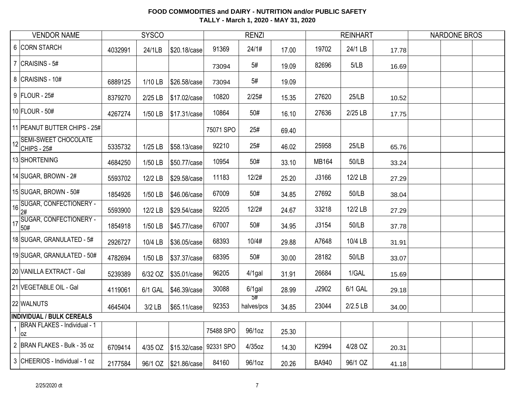| <b>VENDOR NAME</b>                               | <b>SYSCO</b> |           |              |           | <b>RENZI</b>     |       |              | <b>REINHART</b> |       | <b>NARDONE BROS</b> |
|--------------------------------------------------|--------------|-----------|--------------|-----------|------------------|-------|--------------|-----------------|-------|---------------------|
| 6 CORN STARCH                                    | 4032991      | 24/1LB    | \$20.18/case | 91369     | 24/1#            | 17.00 | 19702        | 24/1 LB         | 17.78 |                     |
| 7 $ CRAISINS - 5#$                               |              |           |              | 73094     | 5#               | 19.09 | 82696        | 5/LB            | 16.69 |                     |
| 8 CRAISINS - 10#                                 | 6889125      | 1/10 LB   | \$26.58/case | 73094     | 5#               | 19.09 |              |                 |       |                     |
| 9 FLOUR - 25#                                    | 8379270      | 2/25 LB   | \$17.02/case | 10820     | 2/25#            | 15.35 | 27620        | 25/LB           | 10.52 |                     |
| 10 FLOUR - 50#                                   | 4267274      | 1/50 LB   | \$17.31/case | 10864     | 50#              | 16.10 | 27636        | 2/25 LB         | 17.75 |                     |
| 11 PEANUT BUTTER CHIPS - 25#                     |              |           |              | 75071 SPO | 25#              | 69.40 |              |                 |       |                     |
| 12 SEMI-SWEET CHOCOLATE<br>$ CHIPS - 25#$        | 5335732      | $1/25$ LB | \$58.13/case | 92210     | 25#              | 46.02 | 25958        | 25/LB           | 65.76 |                     |
| 13 SHORTENING                                    | 4684250      | 1/50 LB   | \$50.77/case | 10954     | 50#              | 33.10 | MB164        | 50/LB           | 33.24 |                     |
| 14 SUGAR, BROWN - $2#$                           | 5593702      | 12/2 LB   | \$29.58/case | 11183     | 12/2#            | 25.20 | J3166        | 12/2 LB         | 27.29 |                     |
| $15$ SUGAR, BROWN - 50#                          | 1854926      | 1/50 LB   | \$46.06/case | 67009     | 50#              | 34.85 | 27692        | 50/LB           | 38.04 |                     |
| 16 SUGAR, CONFECTIONERY -                        | 5593900      | 12/2 LB   | \$29.54/case | 92205     | 12/2#            | 24.67 | 33218        | 12/2 LB         | 27.29 |                     |
| 17 SUGAR, CONFECTIONERY -                        | 1854918      | 1/50 LB   | \$45.77/case | 67007     | 50#              | 34.95 | J3154        | 50/LB           | 37.78 |                     |
| 18 SUGAR, GRANULATED - 5#                        | 2926727      | 10/4 LB   | \$36.05/case | 68393     | 10/4#            | 29.88 | A7648        | 10/4 LB         | 31.91 |                     |
| 19 SUGAR, GRANULATED - 50#                       | 4782694      | 1/50 LB   | \$37.37/case | 68395     | 50#              | 30.00 | 28182        | 50/LB           | 33.07 |                     |
| 20 VANILLA EXTRACT - Gal                         | 5239389      | 6/32 OZ   | \$35.01/case | 96205     | $4/1$ gal        | 31.91 | 26684        | 1/GAL           | 15.69 |                     |
| 21 VEGETABLE OIL - Gal                           | 4119061      | 6/1 GAL   | \$46.39/case | 30088     | $6/1$ gal        | 28.99 | J2902        | 6/1 GAL         | 29.18 |                     |
| 22 WALNUTS                                       | 4645404      | $3/2$ LB  | \$65.11/case | 92353     | 5#<br>halves/pcs | 34.85 | 23044        | $2/2.5$ LB      | 34.00 |                     |
| <b>INDIVIDUAL / BULK CEREALS</b>                 |              |           |              |           |                  |       |              |                 |       |                     |
| <b>BRAN FLAKES - Individual - 1</b><br><b>OZ</b> |              |           |              | 75488 SPO | 96/1oz           | 25.30 |              |                 |       |                     |
| 2 BRAN FLAKES - Bulk - 35 oz                     | 6709414      | 4/35 OZ   | \$15.32/case | 92331 SPO | $4/35$ oz        | 14.30 | K2994        | 4/28 OZ         | 20.31 |                     |
| 3 CHEERIOS - Individual - 1 oz                   | 2177584      | 96/1 OZ   | \$21.86/case | 84160     | 96/1oz           | 20.26 | <b>BA940</b> | 96/1 OZ         | 41.18 |                     |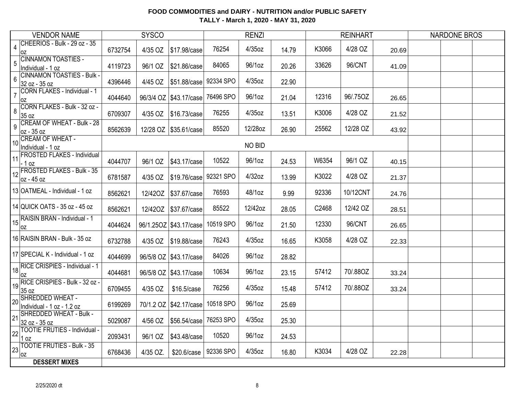|                        | <b>VENDOR NAME</b>                             |         | <b>SYSCO</b> |                          |           | <b>RENZI</b> |       |       | <b>REINHART</b> |       | <b>NARDONE BROS</b> |  |
|------------------------|------------------------------------------------|---------|--------------|--------------------------|-----------|--------------|-------|-------|-----------------|-------|---------------------|--|
| $\overline{4}$<br>0Z   | CHEERIOS - Bulk - 29 oz - 35                   | 6732754 | 4/35 OZ      | \$17.98/case             | 76254     | 4/35oz       | 14.79 | K3066 | 4/28 OZ         | 20.69 |                     |  |
| 5<br>Individual - 1 oz | <b>CINNAMON TOASTIES -</b>                     | 4119723 | 96/1 OZ      | \$21.86/case             | 84065     | 96/1oz       | 20.26 | 33626 | 96/CNT          | 41.09 |                     |  |
| 6<br>32 oz - 35 oz     | <b>CINNAMON TOASTIES - Bulk -</b>              | 4396446 | 4/45 OZ      | \$51.88/case             | 92334 SPO | 4/35oz       | 22.90 |       |                 |       |                     |  |
| $\overline{7}$<br>0Z   | CORN FLAKES - Individual - 1                   | 4044640 |              | 96/3/4 OZ   \$43.17/case | 76496 SPO | 96/1oz       | 21.04 | 12316 | 96/.75OZ        | 26.65 |                     |  |
| 8<br>35 oz             | CORN FLAKES - Bulk - 32 oz -                   | 6709307 | 4/35 OZ      | \$16.73/case             | 76255     | 4/35oz       | 13.51 | K3006 | 4/28 OZ         | 21.52 |                     |  |
| 9<br>oz - 35 oz        | <b>CREAM OF WHEAT - Bulk - 28</b>              | 8562639 |              | 12/28 OZ \$35.61/case    | 85520     | 12/28oz      | 26.90 | 25562 | 12/28 OZ        | 43.92 |                     |  |
| Individual - 1 oz      | 10 CREAM OF WHEAT -                            |         |              |                          |           | NO BID       |       |       |                 |       |                     |  |
| 11<br>. 1 oz           | <b>FROSTED FLAKES - Individual</b>             | 4044707 | 96/1 OZ      | \$43.17/case             | 10522     | 96/1oz       | 24.53 | W6354 | 96/1 OZ         | 40.15 |                     |  |
| oz - 45 oz             | 12 FROSTED FLAKES - Bulk - 35                  | 6781587 | 4/35 OZ      | \$19.76/case             | 92321 SPO | 4/32oz       | 13.99 | K3022 | 4/28 OZ         | 21.37 |                     |  |
|                        | 13 OATMEAL - Individual - 1 oz                 | 8562621 | 12/420Z      | \$37.67/case             | 76593     | 48/1oz       | 9.99  | 92336 | 10/12CNT        | 24.76 |                     |  |
|                        | 14 QUICK OATS - 35 oz - 45 oz                  | 8562621 | 12/420Z      | \$37.67/case             | 85522     | 12/42oz      | 28.05 | C2468 | 12/42 OZ        | 28.51 |                     |  |
| 0Z                     | 15 RAISIN BRAN - Individual - 1                | 4044624 |              | 96/1.25OZ \$43.17/case   | 10519 SPO | 96/1oz       | 21.50 | 12330 | 96/CNT          | 26.65 |                     |  |
|                        | 16 RAISIN BRAN - Bulk - 35 oz                  | 6732788 |              |                          | 76243     | $4/35$ oz    | 16.65 | K3058 | 4/28 OZ         | 22.33 |                     |  |
|                        | 17 SPECIAL K - Individual - 1 oz               | 4044699 |              | 96/5/8 OZ \$43.17/case   | 84026     | 96/1oz       | 28.82 |       |                 |       |                     |  |
| 0Z                     | 18 RICE CRISPIES - Individual - 1              | 4044681 |              | 96/5/8 OZ \$43.17/case   | 10634     | 96/1oz       | 23.15 | 57412 | 70/.88OZ        | 33.24 |                     |  |
| 35 oz                  | 19 RICE CRISPIES - Bulk - 32 oz -              | 6709455 | 4/35 OZ      | \$16.5/case              | 76256     | 4/35oz       | 15.48 | 57412 | 70/.88OZ        | 33.24 |                     |  |
| 20                     | SHREDDED WHEAT -<br>Individual - 1 oz - 1.2 oz | 6199269 |              | 70/1.2 OZ   \$42.17/case | 10518 SPO | 96/1oz       | 25.69 |       |                 |       |                     |  |
| 21<br>32 oz - 35 oz    | SHREDDED WHEAT - Bulk -                        | 5029087 | 4/56 OZ      | \$56.54/case             | 76253 SPO | 4/35oz       | 25.30 |       |                 |       |                     |  |
| 22<br>OZ               | <b>TOOTIE FRUTIES - Individual -</b>           | 2093431 | 96/1 OZ      | \$43.48/case             | 10520     | 96/1oz       | 24.53 |       |                 |       |                     |  |
| 23<br> oz              | <b>TOOTIE FRUTIES - Bulk - 35</b>              | 6768436 | 4/35 OZ.     | \$20.6/case              | 92336 SPO | 4/35oz       | 16.80 | K3034 | 4/28 OZ         | 22.28 |                     |  |
|                        | <b>DESSERT MIXES</b>                           |         |              |                          |           |              |       |       |                 |       |                     |  |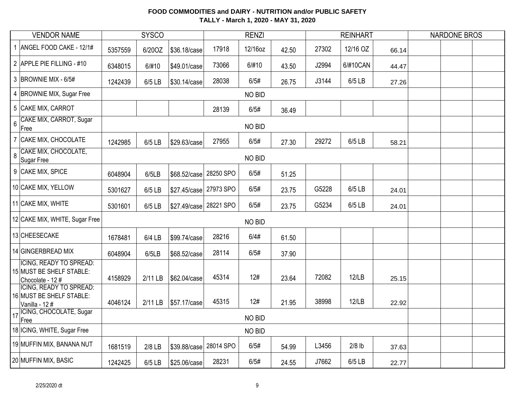|                  | <b>VENDOR NAME</b>                                                     |         | <b>SYSCO</b> |                        |           | <b>RENZI</b> |       |       | <b>REINHART</b> |       | <b>NARDONE BROS</b> |  |
|------------------|------------------------------------------------------------------------|---------|--------------|------------------------|-----------|--------------|-------|-------|-----------------|-------|---------------------|--|
|                  | ANGEL FOOD CAKE - 12/1#                                                | 5357559 | 6/20OZ       | \$36.18/case           | 17918     | 12/16oz      | 42.50 | 27302 | 12/16 OZ        | 66.14 |                     |  |
|                  | 2 APPLE PIE FILLING - #10                                              | 6348015 | 6/#10        | \$49.01/case           | 73066     | 6/#10        | 43.50 | J2994 | 6/#10CAN        | 44.47 |                     |  |
|                  | 3 BROWNIE MIX - 6/5#                                                   | 1242439 | 6/5 LB       | \$30.14/case           | 28038     | 6/5#         | 26.75 | J3144 | 6/5 LB          | 27.26 |                     |  |
|                  | 4 BROWNIE MIX, Sugar Free                                              |         |              |                        |           | NO BID       |       |       |                 |       |                     |  |
|                  | 5 CAKE MIX, CARROT                                                     |         |              |                        | 28139     | 6/5#         | 36.49 |       |                 |       |                     |  |
| $6\phantom{a}$   | CAKE MIX, CARROT, Sugar<br>Free                                        |         |              |                        |           | NO BID       |       |       |                 |       |                     |  |
|                  | 7 CAKE MIX, CHOCOLATE                                                  | 1242985 | 6/5 LB       | \$29.63/case           | 27955     | 6/5#         | 27.30 | 29272 | 6/5 LB          | 58.21 |                     |  |
| $\boldsymbol{8}$ | CAKE MIX, CHOCOLATE,<br>Sugar Free                                     |         |              |                        |           | NO BID       |       |       |                 |       |                     |  |
|                  | 9 CAKE MIX, SPICE                                                      | 6048904 | 6/5LB        | \$68.52/case 28250 SPO |           | 6/5#         | 51.25 |       |                 |       |                     |  |
|                  | 10 CAKE MIX, YELLOW                                                    | 5301627 | 6/5 LB       | \$27.45/case 27973 SPO |           | 6/5#         | 23.75 | G5228 | 6/5 LB          | 24.01 |                     |  |
|                  | 11 CAKE MIX, WHITE                                                     | 5301601 | 6/5 LB       | \$27.49/case 28221 SPO |           | 6/5#         | 23.75 | G5234 | 6/5 LB          | 24.01 |                     |  |
|                  | 12 CAKE MIX, WHITE, Sugar Free                                         |         |              |                        |           | NO BID       |       |       |                 |       |                     |  |
|                  | 13 CHEESECAKE                                                          | 1678481 | 6/4 LB       | \$99.74/case           | 28216     | 6/4#         | 61.50 |       |                 |       |                     |  |
|                  | 14 GINGERBREAD MIX                                                     | 6048904 | 6/5LB        | \$68.52/case           | 28114     | 6/5#         | 37.90 |       |                 |       |                     |  |
|                  | ICING, READY TO SPREAD:<br>15 MUST BE SHELF STABLE:<br>Chocolate - 12# | 4158929 | 2/11 LB      | \$62.04/case           | 45314     | 12#          | 23.64 | 72082 | 12/LB           | 25.15 |                     |  |
|                  | ICING, READY TO SPREAD:<br>16 MUST BE SHELF STABLE:<br>Vanilla - 12#   | 4046124 | 2/11 LB      | \$57.17/case           | 45315     | 12#          | 21.95 | 38998 | 12/LB           | 22.92 |                     |  |
| 17               | ICING, CHOCOLATE, Sugar<br>Free                                        |         |              |                        |           | NO BID       |       |       |                 |       |                     |  |
|                  | 18 ICING, WHITE, Sugar Free                                            |         |              |                        |           | NO BID       |       |       |                 |       |                     |  |
|                  | 19 MUFFIN MIX, BANANA NUT                                              | 1681519 | $2/8$ LB     | \$39.88/case           | 28014 SPO | 6/5#         | 54.99 | L3456 | $2/8$ lb        | 37.63 |                     |  |
|                  | 20 MUFFIN MIX, BASIC                                                   | 1242425 | 6/5 LB       | \$25.06/case           | 28231     | 6/5#         | 24.55 | J7662 | 6/5 LB          | 22.77 |                     |  |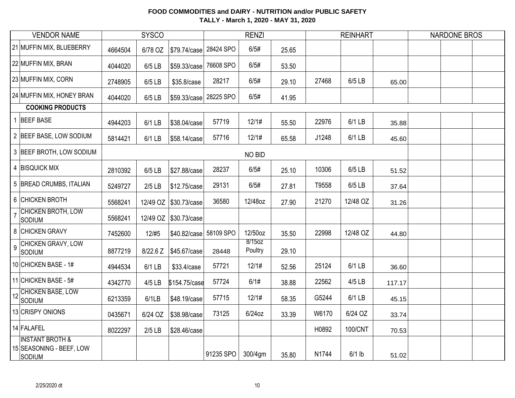|                | <b>VENDOR NAME</b>                                                      |         | <b>SYSCO</b> |                        |           | <b>RENZI</b>      |       |       | <b>REINHART</b> |        | <b>NARDONE BROS</b> |  |
|----------------|-------------------------------------------------------------------------|---------|--------------|------------------------|-----------|-------------------|-------|-------|-----------------|--------|---------------------|--|
|                | 21 MUFFIN MIX, BLUEBERRY                                                | 4664504 | 6/78 OZ      | \$79.74/case           | 28424 SPO | 6/5#              | 25.65 |       |                 |        |                     |  |
|                | 22 MUFFIN MIX, BRAN                                                     | 4044020 | 6/5 LB       | \$59.33/case           | 76608 SPO | 6/5#              | 53.50 |       |                 |        |                     |  |
|                | 23 MUFFIN MIX, CORN                                                     | 2748905 | 6/5 LB       | \$35.8/case            | 28217     | 6/5#              | 29.10 | 27468 | 6/5 LB          | 65.00  |                     |  |
|                | 24 MUFFIN MIX, HONEY BRAN                                               | 4044020 | 6/5 LB       | \$59.33/case           | 28225 SPO | 6/5#              | 41.95 |       |                 |        |                     |  |
|                | <b>COOKING PRODUCTS</b>                                                 |         |              |                        |           |                   |       |       |                 |        |                     |  |
|                | 1 BEEF BASE                                                             | 4944203 | 6/1 LB       | \$38.04/case           | 57719     | 12/1#             | 55.50 | 22976 | 6/1 LB          | 35.88  |                     |  |
|                | 2 BEEF BASE, LOW SODIUM                                                 | 5814421 | 6/1 LB       | \$58.14/case           | 57716     | 12/1#             | 65.58 | J1248 | 6/1 LB          | 45.60  |                     |  |
|                | 3 BEEF BROTH, LOW SODIUM                                                |         |              |                        |           | NO BID            |       |       |                 |        |                     |  |
|                | 4 BISQUICK MIX                                                          | 2810392 | 6/5 LB       | \$27.88/case           | 28237     | 6/5#              | 25.10 | 10306 | 6/5 LB          | 51.52  |                     |  |
|                | 5 BREAD CRUMBS, ITALIAN                                                 | 5249727 | $2/5$ LB     | \$12.75/case           | 29131     | 6/5#              | 27.81 | T9558 | 6/5 LB          | 37.64  |                     |  |
|                | 6 CHICKEN BROTH                                                         | 5568241 |              | 12/49 OZ \\$30.73/case | 36580     | 12/48oz           | 27.90 | 21270 | 12/48 OZ        | 31.26  |                     |  |
| $\overline{7}$ | <b>CHICKEN BROTH, LOW</b><br>SODIUM                                     | 5568241 | 12/49 OZ     | \$30.73/case           |           |                   |       |       |                 |        |                     |  |
|                | 8 CHICKEN GRAVY                                                         | 7452600 | 12/#5        | \$40.82/case           | 58109 SPO | 12/50oz           | 35.50 | 22998 | 12/48 OZ        | 44.80  |                     |  |
| 9              | CHICKEN GRAVY, LOW<br>Sodium                                            | 8877219 | 8/22.6 Z     | \$45.67/case           | 28448     | 8/15oz<br>Poultry | 29.10 |       |                 |        |                     |  |
|                | 10 CHICKEN BASE - 1#                                                    | 4944534 | 6/1 LB       | \$33.4/case            | 57721     | 12/1#             | 52.56 | 25124 | 6/1 LB          | 36.60  |                     |  |
|                | 11 CHICKEN BASE - 5#                                                    | 4342770 | 4/5 LB       | \$154.75/case          | 57724     | 6/1#              | 38.88 | 22562 | 4/5 LB          | 117.17 |                     |  |
| 12             | <b>CHICKEN BASE, LOW</b><br>SODIUM                                      | 6213359 | 6/1LB        | \$48.19/case           | 57715     | 12/1#             | 58.35 | G5244 | 6/1 LB          | 45.15  |                     |  |
|                | 13 CRISPY ONIONS                                                        | 0435671 | 6/24 OZ      | \$38.98/case           | 73125     | $6/24$ oz         | 33.39 | W6170 | 6/24 OZ         | 33.74  |                     |  |
|                | 14 FALAFEL                                                              | 8022297 | $2/5$ LB     | \$28.46/case           |           |                   |       | H0892 | 100/CNT         | 70.53  |                     |  |
|                | <b>INSTANT BROTH &amp;</b><br>15 SEASONING - BEEF, LOW<br><b>SODIUM</b> |         |              |                        | 91235 SPO | 300/4gm           | 35.80 | N1744 | $6/1$ lb        | 51.02  |                     |  |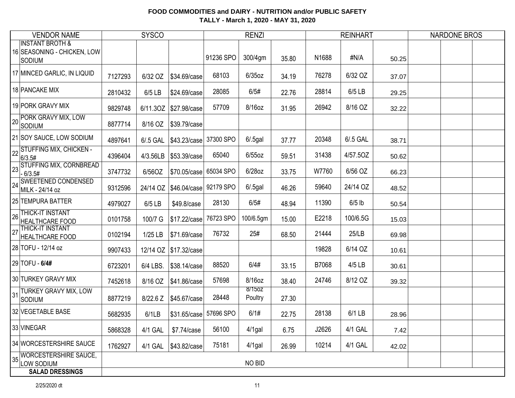| <b>VENDOR NAME</b>                                                   |         | <b>SYSCO</b> |                                     |           | <b>RENZI</b>      |       |       | <b>REINHART</b> |       | <b>NARDONE BROS</b> |
|----------------------------------------------------------------------|---------|--------------|-------------------------------------|-----------|-------------------|-------|-------|-----------------|-------|---------------------|
| <b>INSTANT BROTH &amp;</b><br>16 SEASONING - CHICKEN, LOW<br> Sodium |         |              |                                     | 91236 SPO | 300/4gm           | 35.80 | N1688 | #N/A            | 50.25 |                     |
| 17 MINCED GARLIC, IN LIQUID                                          | 7127293 | 6/32 OZ      | \$34.69/case                        | 68103     | $6/35$ oz         | 34.19 | 76278 | 6/32 OZ         | 37.07 |                     |
| 18 PANCAKE MIX                                                       | 2810432 | 6/5 LB       | \$24.69/case                        | 28085     | 6/5#              | 22.76 | 28814 | 6/5 LB          | 29.25 |                     |
| 19 PORK GRAVY MIX                                                    | 9829748 | 6/11.30Z     | \$27.98/case                        | 57709     | 8/16oz            | 31.95 | 26942 | 8/16 OZ         | 32.22 |                     |
| PORK GRAVY MIX, LOW<br>20<br>SODIUM                                  | 8877714 | 8/16 OZ      | \$39.79/case                        |           |                   |       |       |                 |       |                     |
| 21 SOY SAUCE, LOW SODIUM                                             | 4897641 | 6/.5 GAL     | \$43.23/case                        | 37300 SPO | $6/.5$ gal        | 37.77 | 20348 | 6/.5 GAL        | 38.71 |                     |
| 22 STUFFING MIX, CHICKEN -<br> 6/3.5#                                | 4396404 | 4/3.56LB     | \$53.39/case                        | 65040     | $6/55$ oz         | 59.51 | 31438 | 4/57.50Z        | 50.62 |                     |
| 33 STUFFING MIX, CORNBREAD<br>$-6/3.5#$                              | 3747732 | 6/56OZ       | \$70.05/case                        | 65034 SPO | 6/28oz            | 33.75 | W7760 | 6/56 OZ         | 66.23 |                     |
| <b>SWEETENED CONDENSED</b><br>24<br>MILK - 24/14 oz                  | 9312596 |              | 24/14 OZ   \$46.04/case   92179 SPO |           | $6/0.5$ gal       | 46.26 | 59640 | 24/14 OZ        | 48.52 |                     |
| 25 TEMPURA BATTER                                                    | 4979027 | 6/5 LB       | \$49.8/case                         | 28130     | 6/5#              | 48.94 | 11390 | $6/5$ lb        | 50.54 |                     |
| <b>THICK-IT INSTANT</b><br>26<br>HEALTHCARE FOOD                     | 0101758 | 100/7 G      | \$17.22/case                        | 76723 SPO | 100/6.5gm         | 15.00 | E2218 | 100/6.5G        | 15.03 |                     |
| THICK-IT INSTANT<br>27<br><b>HEALTHCARE FOOD</b>                     | 0102194 | 1/25 LB      | \$71.69/case                        | 76732     | 25#               | 68.50 | 21444 | 25/LB           | 69.98 |                     |
| 28 TOFU - 12/14 oz                                                   | 9907433 |              | 12/14 OZ \\$17.32/case              |           |                   |       | 19828 | 6/14 OZ         | 10.61 |                     |
| 29 TOFU - 6/4#                                                       | 6723201 | 6/4 LBS.     | \$38.14/case                        | 88520     | 6/4#              | 33.15 | B7068 | 4/5 LB          | 30.61 |                     |
| 30 TURKEY GRAVY MIX                                                  | 7452618 | 8/16 OZ      | \$41.86/case                        | 57698     | 8/16oz            | 38.40 | 24746 | 8/12 OZ         | 39.32 |                     |
| TURKEY GRAVY MIX, LOW<br>31<br>SODIUM                                | 8877219 | 8/22.6 Z     | \$45.67/case                        | 28448     | 8/150Z<br>Poultry | 27.30 |       |                 |       |                     |
| 32 VEGETABLE BASE                                                    | 5682935 | 6/1LB        | \$31.65/case 57696 SPO              |           | 6/1#              | 22.75 | 28138 | 6/1 LB          | 28.96 |                     |
| 33 VINEGAR                                                           | 5868328 | 4/1 GAL      | \$7.74/case                         | 56100     | $4/1$ gal         | 6.75  | J2626 | 4/1 GAL         | 7.42  |                     |
| 34 WORCESTERSHIRE SAUCE                                              | 1762927 | 4/1 GAL      | \$43.82/case                        | 75181     | $4/1$ gal         | 26.99 | 10214 | 4/1 GAL         | 42.02 |                     |
| WORCESTERSHIRE SAUCE,<br>35<br>LOW SODIUM                            |         |              |                                     |           | NO BID            |       |       |                 |       |                     |
| <b>SALAD DRESSINGS</b>                                               |         |              |                                     |           |                   |       |       |                 |       |                     |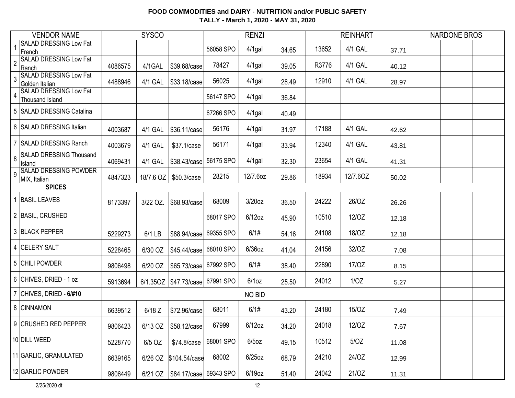|                | <b>VENDOR NAME</b>                                      |         | <b>SYSCO</b> |                                     |           | <b>RENZI</b> |       |       | <b>REINHART</b> |       | <b>NARDONE BROS</b> |  |
|----------------|---------------------------------------------------------|---------|--------------|-------------------------------------|-----------|--------------|-------|-------|-----------------|-------|---------------------|--|
|                | <b>SALAD DRESSING Low Fat</b><br>French                 |         |              |                                     | 56058 SPO | 4/1gal       | 34.65 | 13652 | 4/1 GAL         | 37.71 |                     |  |
| $\overline{2}$ | <b>SALAD DRESSING Low Fat</b><br>Ranch                  | 4086575 | 4/1GAL       | \$39.68/case                        | 78427     | 4/1gal       | 39.05 | R3776 | 4/1 GAL         | 40.12 |                     |  |
| 3              | <b>SALAD DRESSING Low Fat</b><br>Golden Italian         | 4488946 | 4/1 GAL      | \$33.18/case                        | 56025     | $4/1$ gal    | 28.49 | 12910 | 4/1 GAL         | 28.97 |                     |  |
| $\overline{4}$ | <b>SALAD DRESSING Low Fat</b><br><b>Thousand Island</b> |         |              |                                     | 56147 SPO | $4/1$ gal    | 36.84 |       |                 |       |                     |  |
|                | 5 SALAD DRESSING Catalina                               |         |              |                                     | 67266 SPO | $4/1$ gal    | 40.49 |       |                 |       |                     |  |
|                | 6 SALAD DRESSING Italian                                | 4003687 | 4/1 GAL      | \$36.11/case                        | 56176     | $4/1$ gal    | 31.97 | 17188 | 4/1 GAL         | 42.62 |                     |  |
|                | <b>SALAD DRESSING Ranch</b>                             | 4003679 | 4/1 GAL      | \$37.1/case                         | 56171     | 4/1gal       | 33.94 | 12340 | 4/1 GAL         | 43.81 |                     |  |
| 8              | <b>SALAD DRESSING Thousand</b><br>Island                | 4069431 | 4/1 GAL      | \$38.43/case                        | 56175 SPO | 4/1gal       | 32.30 | 23654 | 4/1 GAL         | 41.31 |                     |  |
| 9              | <b>SALAD DRESSING POWDER</b><br>MIX, Italian            | 4847323 | 18/7.6 OZ    | \$50.3/case                         | 28215     | 12/7.6oz     | 29.86 | 18934 | 12/7.60Z        | 50.02 |                     |  |
|                | <b>SPICES</b>                                           |         |              |                                     |           |              |       |       |                 |       |                     |  |
|                | <b>BASIL LEAVES</b>                                     | 8173397 | 3/22 OZ.     | \$68.93/case                        | 68009     | $3/20$ oz    | 36.50 | 24222 | 26/OZ           | 26.26 |                     |  |
|                | 2 BASIL, CRUSHED                                        |         |              |                                     | 68017 SPO | $6/12$ oz    | 45.90 | 10510 | 12/0Z           | 12.18 |                     |  |
|                | 3 BLACK PEPPER                                          | 5229273 | 6/1 LB       | \$88.94/case                        | 69355 SPO | 6/1#         | 54.16 | 24108 | 18/OZ           | 12.18 |                     |  |
|                | 4 CELERY SALT                                           | 5228465 | 6/30 OZ      | \$45.44/case                        | 68010 SPO | $6/36$ oz    | 41.04 | 24156 | 32/OZ           | 7.08  |                     |  |
|                | 5 CHILI POWDER                                          | 9806498 | 6/20 OZ      | \$65.73/case 67992 SPO              |           | 6/1#         | 38.40 | 22890 | 17/0Z           | 8.15  |                     |  |
|                | 6 CHIVES, DRIED - 1 oz                                  | 5913694 |              | 6/1.35OZ   \$47.73/case   67991 SPO |           | $6/1$ oz     | 25.50 | 24012 | 1/OZ            | 5.27  |                     |  |
|                | CHIVES, DRIED - 6/#10                                   |         |              |                                     |           | NO BID       |       |       |                 |       |                     |  |
|                | 8 CINNAMON                                              | 6639512 | $6/18$ Z     | \$72.96/case                        | 68011     | 6/1#         | 43.20 | 24180 | 15/OZ           | 7.49  |                     |  |
|                | 9 CRUSHED RED PEPPER                                    | 9806423 |              | 6/13 OZ \$58.12/case                | 67999     | $6/12$ oz    | 34.20 | 24018 | 12/OZ           | 7.67  |                     |  |
|                | 10 DILL WEED                                            | 5228770 | 6/5 OZ       | \$74.8/case                         | 68001 SPO | $6/5$ oz     | 49.15 | 10512 | 5/OZ            | 11.08 |                     |  |
|                | 11 GARLIC, GRANULATED                                   | 6639165 |              | 6/26 OZ \$104.54/case               | 68002     | $6/25$ oz    | 68.79 | 24210 | 24/OZ           | 12.99 |                     |  |
|                | 12 GARLIC POWDER                                        | 9806449 |              | 6/21 OZ   \$84.17/case   69343 SPO  |           | $6/19$ oz    | 51.40 | 24042 | 21/OZ           | 11.31 |                     |  |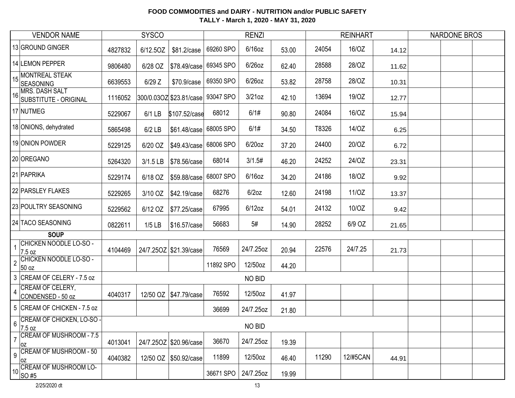|                | <b>VENDOR NAME</b>                         | <b>SYSCO</b> |            |                                   |           | <b>RENZI</b> |       |       | <b>REINHART</b> |       | <b>NARDONE BROS</b> |  |
|----------------|--------------------------------------------|--------------|------------|-----------------------------------|-----------|--------------|-------|-------|-----------------|-------|---------------------|--|
|                | 13 GROUND GINGER                           | 4827832      | 6/12.5OZ   | \$81.2/case                       | 69260 SPO | $6/16$ oz    | 53.00 | 24054 | 16/OZ           | 14.12 |                     |  |
|                | 14 LEMON PEPPER                            | 9806480      | 6/28 OZ    | \$78.49/case                      | 69345 SPO | $6/26$ oz    | 62.40 | 28588 | 28/OZ           | 11.62 |                     |  |
| 15             | MONTREAL STEAK<br><b>SEASONING</b>         | 6639553      | $6/29$ Z   | \$70.9/case                       | 69350 SPO | $6/26$ oz    | 53.82 | 28758 | 28/OZ           | 10.31 |                     |  |
|                | 16 MRS. DASH SALT<br>SUBSTITUTE - ORIGINAL | 1116052      |            | 300/0.03OZ \$23.81/case 93047 SPO |           | $3/21$ oz    | 42.10 | 13694 | 19/0Z           | 12.77 |                     |  |
|                | 17 NUTMEG                                  | 5229067      | $6/1$ LB   | \$107.52/case                     | 68012     | 6/1#         | 90.80 | 24084 | 16/OZ           | 15.94 |                     |  |
|                | 18 ONIONS, dehydrated                      | 5865498      | $6/2$ LB   | \$61.48/case 68005 SPO            |           | 6/1#         | 34.50 | T8326 | 14/OZ           | 6.25  |                     |  |
|                | 19 ONION POWDER                            | 5229125      | 6/20 OZ    | \$49.43/case 68006 SPO            |           | $6/20$ oz    | 37.20 | 24400 | 20/OZ           | 6.72  |                     |  |
|                | 20 OREGANO                                 | 5264320      | $3/1.5$ LB | \$78.56/case                      | 68014     | 3/1.5#       | 46.20 | 24252 | 24/OZ           | 23.31 |                     |  |
|                | 21 PAPRIKA                                 | 5229174      | 6/18 OZ    | \$59.88/case 68007 SPO            |           | $6/16$ oz    | 34.20 | 24186 | 18/OZ           | 9.92  |                     |  |
|                | 22 PARSLEY FLAKES                          | 5229265      | 3/10 OZ    | \$42.19/case                      | 68276     | $6/2$ oz     | 12.60 | 24198 | 11/OZ           | 13.37 |                     |  |
|                | 23 POULTRY SEASONING                       | 5229562      | 6/12 OZ    | \$77.25/case                      | 67995     | $6/12$ oz    | 54.01 | 24132 | 10/OZ           | 9.42  |                     |  |
|                | 24 TACO SEASONING                          | 0822611      | $1/5$ LB   | \$16.57/case                      | 56683     | 5#           | 14.90 | 28252 | 6/9 OZ          | 21.65 |                     |  |
|                | <b>SOUP</b>                                |              |            |                                   |           |              |       |       |                 |       |                     |  |
| $\mathbf{1}$   | CHICKEN NOODLE LO-SO -<br>7.5 oz           | 4104469      |            | 24/7.25OZ \$21.39/case            | 76569     | 24/7.25oz    | 20.94 | 22576 | 24/7.25         | 21.73 |                     |  |
| $\overline{2}$ | CHICKEN NOODLE LO-SO -<br>50 oz            |              |            |                                   | 11892 SPO | 12/50oz      | 44.20 |       |                 |       |                     |  |
|                | 3 CREAM OF CELERY - 7.5 oz                 |              |            |                                   |           | NO BID       |       |       |                 |       |                     |  |
| 4              | CREAM OF CELERY,<br>CONDENSED - 50 oz      | 4040317      |            | 12/50 OZ   \$47.79/case           | 76592     | 12/50oz      | 41.97 |       |                 |       |                     |  |
|                | 5 CREAM OF CHICKEN - 7.5 oz                |              |            |                                   | 36699     | 24/7.25oz    | 21.80 |       |                 |       |                     |  |
| 6              | CREAM OF CHICKEN, LO-SO -<br>7.5 oz        |              |            |                                   |           | NO BID       |       |       |                 |       |                     |  |
|                | <b>CREAM OF MUSHROOM - 7.5</b><br>0Z       | 4013041      |            | 24/7.25OZ \$20.96/case            | 36670     | 24/7.25oz    | 19.39 |       |                 |       |                     |  |
| 9              | <b>CREAM OF MUSHROOM - 50</b><br>0Z        | 4040382      |            | 12/50 OZ \\$50.92/case            | 11899     | 12/50oz      | 46.40 | 11290 | 12/#5CAN        | 44.91 |                     |  |
|                | 10 CREAM OF MUSHROOM LO-<br>SO #5          |              |            |                                   | 36671 SPO | 24/7.25oz    | 19.99 |       |                 |       |                     |  |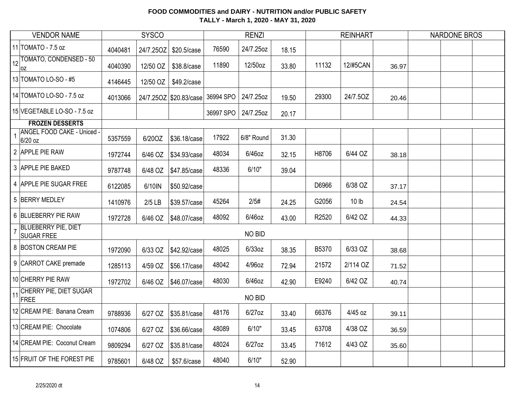|              | <b>VENDOR NAME</b>                              | <b>SYSCO</b> |           |                        | <b>RENZI</b> |            |       | <b>REINHART</b> |                  | <b>NARDONE BROS</b> |  |
|--------------|-------------------------------------------------|--------------|-----------|------------------------|--------------|------------|-------|-----------------|------------------|---------------------|--|
|              | 11 TOMATO - 7.5 oz                              | 4040481      | 24/7.25OZ | \$20.5/case            | 76590        | 24/7.25oz  | 18.15 |                 |                  |                     |  |
| 12           | TOMATO, CONDENSED - 50<br>0Z                    | 4040390      | 12/50 OZ  | \$38.8/case            | 11890        | 12/50oz    | 33.80 | 11132           | 12/#5CAN         | 36.97               |  |
|              | 13 TOMATO LO-SO - #5                            | 4146445      | 12/50 OZ  | \$49.2/case            |              |            |       |                 |                  |                     |  |
|              | 14 TOMATO LO-SO - 7.5 oz                        | 4013066      |           | 24/7.25OZ \$20.83/case | 36994 SPO    | 24/7.25oz  | 19.50 | 29300           | 24/7.50Z         | 20.46               |  |
|              | 15 VEGETABLE LO-SO - 7.5 oz                     |              |           |                        | 36997 SPO    | 24/7.25oz  | 20.17 |                 |                  |                     |  |
|              | <b>FROZEN DESSERTS</b>                          |              |           |                        |              |            |       |                 |                  |                     |  |
| $\mathbf{1}$ | <b>ANGEL FOOD CAKE - Uniced -</b><br>6/20 oz    | 5357559      | 6/20OZ    | \$36.18/case           | 17922        | 6/8" Round | 31.30 |                 |                  |                     |  |
|              | 2 APPLE PIE RAW                                 | 1972744      | 6/46 OZ   | \$34.93/case           | 48034        | $6/46$ oz  | 32.15 | H8706           | 6/44 OZ          | 38.18               |  |
|              | 3 APPLE PIE BAKED                               | 9787748      | 6/48 OZ   | \$47.85/case           | 48336        | 6/10"      | 39.04 |                 |                  |                     |  |
|              | 4 APPLE PIE SUGAR FREE                          | 6122085      | 6/10IN    | \$50.92/case           |              |            |       | D6966           | 6/38 OZ          | 37.17               |  |
|              | 5 BERRY MEDLEY                                  | 1410976      | $2/5$ LB  | \$39.57/case           | 45264        | 2/5#       | 24.25 | G2056           | 10 <sub>lb</sub> | 24.54               |  |
|              | 6 BLUEBERRY PIE RAW                             | 1972728      | 6/46 OZ   | \$48.07/case           | 48092        | 6/46oz     | 43.00 | R2520           | 6/42 OZ          | 44.33               |  |
|              | <b>BLUEBERRY PIE, DIET</b><br><b>SUGAR FREE</b> |              |           |                        |              | NO BID     |       |                 |                  |                     |  |
|              | 8 BOSTON CREAM PIE                              | 1972090      | 6/33 OZ   | \$42.92/case           | 48025        | 6/33oz     | 38.35 | B5370           | 6/33 OZ          | 38.68               |  |
|              | 9 CARROT CAKE premade                           | 1285113      | 4/59 OZ   | \$56.17/case           | 48042        | 4/96oz     | 72.94 | 21572           | 2/114 OZ         | 71.52               |  |
|              | 10 CHERRY PIE RAW                               | 1972702      | 6/46 OZ   | \$46.07/case           | 48030        | $6/46$ oz  | 42.90 | E9240           | 6/42 OZ          | 40.74               |  |
|              | 11 CHERRY PIE, DIET SUGAR<br>FREE               |              |           |                        |              | NO BID     |       |                 |                  |                     |  |
|              | 12 CREAM PIE: Banana Cream                      | 9788936      | 6/27 OZ   | \$35.81/case           | 48176        | 6/27oz     | 33.40 | 66376           | 4/45 oz          | 39.11               |  |
|              | 13 CREAM PIE: Chocolate                         | 1074806      | 6/27 OZ   | \$36.66/case           | 48089        | 6/10"      | 33.45 | 63708           | 4/38 OZ          | 36.59               |  |
|              | 14 CREAM PIE: Coconut Cream                     | 9809294      | 6/27 OZ   | \$35.81/case           | 48024        | $6/27$ oz  | 33.45 | 71612           | 4/43 OZ          | 35.60               |  |
|              | 15 FRUIT OF THE FOREST PIE                      | 9785601      | 6/48 OZ   | \$57.6/case            | 48040        | 6/10"      | 52.90 |                 |                  |                     |  |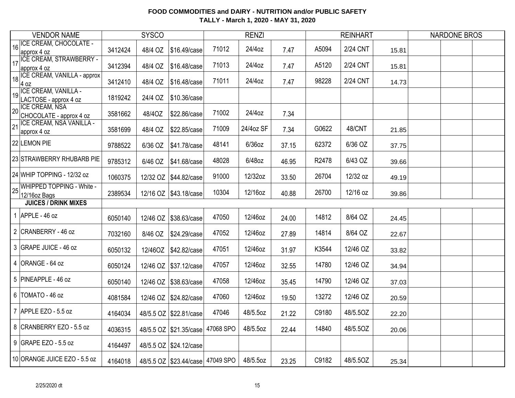|    | <b>VENDOR NAME</b>                               |         | <b>SYSCO</b> |                                      |           | <b>RENZI</b> |       |       | <b>REINHART</b> |       | <b>NARDONE BROS</b> |  |
|----|--------------------------------------------------|---------|--------------|--------------------------------------|-----------|--------------|-------|-------|-----------------|-------|---------------------|--|
| 16 | <b>ICE CREAM, CHOCOLATE -</b><br>approx 4 oz     | 3412424 | 48/4 OZ      | \$16.49/case                         | 71012     | 24/4oz       | 7.47  | A5094 | 2/24 CNT        | 15.81 |                     |  |
| 17 | <b>ICE CREAM, STRAWBERRY -</b><br>approx 4 oz    | 3412394 | 48/4 OZ      | \$16,48/case                         | 71013     | 24/4oz       | 7.47  | A5120 | <b>2/24 CNT</b> | 15.81 |                     |  |
| 18 | ICE CREAM, VANILLA - approx<br>$4$ oz            | 3412410 | 48/4 OZ      | \$16.48/case                         | 71011     | 24/4oz       | 7.47  | 98228 | 2/24 CNT        | 14.73 |                     |  |
| 19 | ICE CREAM, VANILLA -<br>LACTOSE - approx 4 oz    | 1819242 | 24/4 OZ      | \$10.36/case                         |           |              |       |       |                 |       |                     |  |
| 20 | <b>ICE CREAM, NSA</b><br>CHOCOLATE - approx 4 oz | 3581662 | 48/4OZ       | \$22.86/case                         | 71002     | 24/4oz       | 7.34  |       |                 |       |                     |  |
| 21 | ICE CREAM, NSA VANILLA -<br>approx 4 oz          | 3581699 | 48/4 OZ      | \$22.85/case                         | 71009     | 24/4oz SF    | 7.34  | G0622 | 48/CNT          | 21.85 |                     |  |
|    | 22 LEMON PIE                                     | 9788522 | 6/36 OZ      | \$41.78/case                         | 48141     | 6/36oz       | 37.15 | 62372 | 6/36 OZ         | 37.75 |                     |  |
|    | 23 STRAWBERRY RHUBARB PIE                        | 9785312 | 6/46 OZ      | \$41.68/case                         | 48028     | 6/48oz       | 46.95 | R2478 | 6/43 OZ         | 39.66 |                     |  |
|    | 24 WHIP TOPPING - 12/32 oz                       | 1060375 | 12/32 OZ     | \$44.82/case                         | 91000     | 12/32oz      | 33.50 | 26704 | 12/32 oz        | 49.19 |                     |  |
| 25 | <b>WHIPPED TOPPING - White -</b><br>12/16oz Bags | 2389534 |              | 12/16 OZ   \$43.18/case              | 10304     | 12/16oz      | 40.88 | 26700 | 12/16 oz        | 39.86 |                     |  |
|    | <b>JUICES / DRINK MIXES</b>                      |         |              |                                      |           |              |       |       |                 |       |                     |  |
|    | 1 APPLE - $46$ oz                                | 6050140 | 12/46 OZ     | \$38.63/case                         | 47050     | 12/46oz      | 24.00 | 14812 | 8/64 OZ         | 24.45 |                     |  |
|    | 2 CRANBERRY - 46 oz                              | 7032160 | 8/46 OZ      | \$24.29/case                         | 47052     | 12/46oz      | 27.89 | 14814 | 8/64 OZ         | 22.67 |                     |  |
|    | 3 GRAPE JUICE - 46 oz                            | 6050132 | 12/46OZ      | \$42.82/case                         | 47051     | 12/46oz      | 31.97 | K3544 | 12/46 OZ        | 33.82 |                     |  |
|    | $4$ ORANGE - 64 oz                               | 6050124 |              | 12/46 OZ \\$37.12/case               | 47057     | 12/46oz      | 32.55 | 14780 | 12/46 OZ        | 34.94 |                     |  |
|    | 5 PINEAPPLE - 46 oz                              | 6050140 |              | 12/46 OZ \\$38.63/case               | 47058     | 12/46oz      | 35.45 | 14790 | 12/46 OZ        | 37.03 |                     |  |
|    | 6   TOMATO - 46 oz                               | 4081584 |              | 12/46 OZ   \$24.82/case              | 47060     | 12/46oz      | 19.50 | 13272 | 12/46 OZ        | 20.59 |                     |  |
|    | 7 APPLE EZO - 5.5 oz                             | 4164034 |              | 48/5.5 OZ \$22.81/case               | 47046     | 48/5.5oz     | 21.22 | C9180 | 48/5.5OZ        | 22.20 |                     |  |
|    | 8 CRANBERRY EZO - 5.5 oz                         | 4036315 |              | 48/5.5 OZ   \$21.35/case             | 47068 SPO | 48/5.5oz     | 22.44 | 14840 | 48/5.5OZ        | 20.06 |                     |  |
|    | 9 GRAPE EZO - 5.5 oz                             | 4164497 |              | 48/5.5 OZ \$24.12/case               |           |              |       |       |                 |       |                     |  |
|    | 10 ORANGE JUICE EZO - 5.5 oz                     | 4164018 |              | 48/5.5 OZ   \$23.44/case   47049 SPO |           | 48/5.5oz     | 23.25 | C9182 | 48/5.50Z        | 25.34 |                     |  |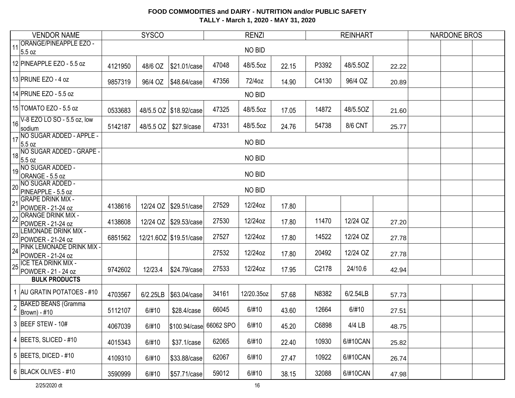| <b>VENDOR NAME</b>                                           |         | <b>SYSCO</b> |                         |       | <b>RENZI</b> |       |       | <b>REINHART</b> |       | <b>NARDONE BROS</b> |
|--------------------------------------------------------------|---------|--------------|-------------------------|-------|--------------|-------|-------|-----------------|-------|---------------------|
| <b>ORANGE/PINEAPPLE EZO -</b><br>11<br>5.5 oz                |         |              |                         |       | NO BID       |       |       |                 |       |                     |
| 12 PINEAPPLE EZO - 5.5 oz                                    | 4121950 | 48/6 OZ      | \$21.01/case            | 47048 | 48/5.5oz     | 22.15 | P3392 | 48/5.5OZ        | 22.22 |                     |
| 13 PRUNE EZO - 4 oz                                          | 9857319 |              |                         | 47356 | 72/4oz       | 14.90 | C4130 | 96/4 OZ         | 20.89 |                     |
| 14 PRUNE EZO - 5.5 oz                                        |         |              |                         |       | NO BID       |       |       |                 |       |                     |
| 15 TOMATO EZO - 5.5 oz                                       | 0533683 |              | 48/5.5 OZ \$18.92/case  | 47325 | 48/5.5oz     | 17.05 | 14872 | 48/5.5OZ        | 21.60 |                     |
| V-8 EZO LO SO - 5.5 oz, low<br>16<br>sodium                  | 5142187 | 48/5.5 OZ    | \$27.9/case             | 47331 | 48/5.5oz     | 24.76 | 54738 | <b>8/6 CNT</b>  | 25.77 |                     |
| $\boxed{17}$<br>NO SUGAR ADDED - APPLE -<br>5.5 oz           |         |              |                         |       | NO BID       |       |       |                 |       |                     |
| 18 NO SUGAR ADDED - GRAPE -<br>5.5 oz                        |         |              |                         |       | NO BID       |       |       |                 |       |                     |
| 19 NO SUGAR ADDED -<br>ORANGE - 5.5 oz                       |         |              |                         |       |              |       |       |                 |       |                     |
| NO SUGAR ADDED -<br>20<br>PINEAPPLE - 5.5 oz                 |         |              |                         |       |              |       |       |                 |       |                     |
| <b>GRAPE DRINK MIX -</b><br>$ _{21}$<br>POWDER - 21-24 oz    | 4138616 |              | 12/24 OZ   \$29.51/case | 27529 | 12/24oz      | 17.80 |       |                 |       |                     |
| <b>ORANGE DRINK MIX -</b><br>22<br>POWDER - 21-24 oz         | 4138608 |              | 12/24 OZ \$29.53/case   | 27530 | 12/24oz      | 17.80 | 11470 | 12/24 OZ        | 27.20 |                     |
| LEMONADE DRINK MIX -<br>23<br>POWDER - 21-24 oz              | 6851562 |              | 12/21.6OZ \$19.51/case  | 27527 | 12/24oz      | 17.80 | 14522 | 12/24 OZ        | 27.78 |                     |
| PINK LEMONADE DRINK MIX -<br>24<br>POWDER - 21-24 oz         |         |              |                         | 27532 | 12/24oz      | 17.80 | 20492 | 12/24 OZ        | 27.78 |                     |
| ICE TEA DRINK MIX -<br> 25 <br>POWDER - 21 - 24 oz           | 9742602 | 12/23.4      | \$24.79/case            | 27533 | 12/24oz      | 17.95 | C2178 | 24/10.6         | 42.94 |                     |
| <b>BULK PRODUCTS</b>                                         |         |              |                         |       |              |       |       |                 |       |                     |
| 1   AU GRATIN POTATOES - #10                                 | 4703567 | 6/2.25LB     | \$63.04/case            | 34161 | 12/20.35oz   | 57.68 | N8382 | 6/2.54LB        | 57.73 |                     |
| <b>BAKED BEANS (Gramma</b><br>$\overline{2}$<br>Brown) - #10 | 5112107 | 6/#10        | \$28.4/case             | 66045 | 6/#10        | 43.60 | 12664 | 6/#10           | 27.51 |                     |
| 3 BEEF STEW - 10#                                            | 4067039 | 6/#10        | \$100.94/case 66062 SPO |       | 6/#10        | 45.20 | C6898 | 4/4 LB          | 48.75 |                     |
| $\vert$ 4 BEETS, SLICED - #10                                | 4015343 | 6/#10        | \$37.1/case             | 62065 | 6/#10        | 22.40 | 10930 | 6/#10CAN        | 25.82 |                     |
| $5$ BEETS, DICED - #10                                       | 4109310 | 6/#10        | \$33.88/case            | 62067 | 6/#10        | 27.47 | 10922 | 6/#10CAN        | 26.74 |                     |
| 6 BLACK OLIVES - #10                                         | 3590999 | 6/#10        | \$57.71/case            | 59012 | 6/#10        | 38.15 | 32088 | 6/#10CAN        | 47.98 |                     |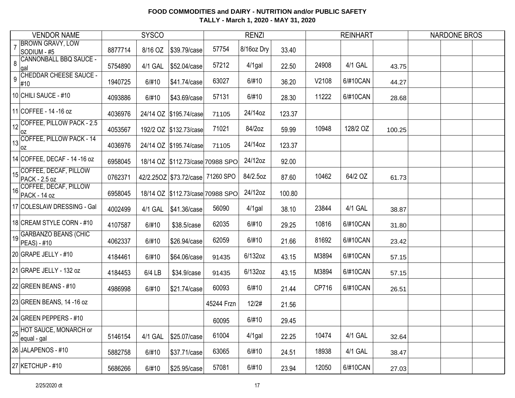|                | <b>VENDOR NAME</b>                                                                                           | <b>SYSCO</b> |         |                                      |            | <b>RENZI</b> |        |       | <b>REINHART</b> |        | <b>NARDONE BROS</b> |  |
|----------------|--------------------------------------------------------------------------------------------------------------|--------------|---------|--------------------------------------|------------|--------------|--------|-------|-----------------|--------|---------------------|--|
| $\overline{7}$ | <b>BROWN GRAVY, LOW</b><br>SODIUM - #5                                                                       | 8877714      | 8/16 OZ | \$39.79/case                         | 57754      | 8/16oz Dry   | 33.40  |       |                 |        |                     |  |
| 8              | <b>CANNONBALL BBQ SAUCE -</b><br>lgal                                                                        | 5754890      | 4/1 GAL | \$52.04/case                         | 57212      | $4/1$ gal    | 22.50  | 24908 | 4/1 GAL         | 43.75  |                     |  |
| 9              | <b>CHEDDAR CHEESE SAUCE -</b><br>#10                                                                         | 1940725      | 6/#10   | \$41.74/case                         | 63027      | 6/#10        | 36.20  | V2108 | 6/#10CAN        | 44.27  |                     |  |
|                | 10 CHILI SAUCE - #10                                                                                         | 4093886      | 6/#10   | \$43.69/case                         | 57131      | 6/#10        | 28.30  | 11222 | 6/#10CAN        | 28.68  |                     |  |
|                | 11 COFFEE - 14 - 16 oz                                                                                       | 4036976      |         | 24/14 OZ \$195.74/case               | 71105      | 24/14oz      | 123.37 |       |                 |        |                     |  |
|                | $\big  12 \big  $ COFFEE, PILLOW PACK - 2.5<br>loz                                                           | 4053567      |         | 192/2 OZ \$132.73/case               | 71021      | 84/2oz       | 59.99  | 10948 | 128/2 OZ        | 100.25 |                     |  |
|                | $\begin{array}{ c c c c }\hline \text{13} & \text{COFFEE}, \text{PILLOW PACK - 14} \hline \end{array}$<br>0Z | 4036976      |         | 24/14 OZ \$195.74/case               | 71105      | 24/14oz      | 123.37 |       |                 |        |                     |  |
|                | 14 COFFEE, DECAF - 14 - 16 oz                                                                                | 6958045      |         | 18/14 OZ \$112.73/case 70988 SPO     |            | 24/12oz      | 92.00  |       |                 |        |                     |  |
|                | 15 COFFEE, DECAF, PILLOW<br><b>PACK - 2.5 oz</b>                                                             | 0762371      |         | 42/2.25OZ   \$73.72/case   71260 SPO |            | 84/2.5oz     | 87.60  | 10462 | 64/2 OZ         | 61.73  |                     |  |
| 16             | COFFEE, DECAF, PILLOW<br>PACK - 14 oz                                                                        | 6958045      |         | 18/14 OZ \$112.73/case 70988 SPO     |            | 24/12oz      | 100.80 |       |                 |        |                     |  |
|                | 17 COLESLAW DRESSING - Gal                                                                                   | 4002499      | 4/1 GAL | \$41.36/case                         | 56090      | $4/1$ gal    | 38.10  | 23844 | 4/1 GAL         | 38.87  |                     |  |
|                | 18 CREAM STYLE CORN - #10                                                                                    | 4107587      | 6/#10   | \$38.5/case                          | 62035      | 6/#10        | 29.25  | 10816 | 6/#10CAN        | 31.80  |                     |  |
|                | 19 GARBANZO BEANS (CHIC<br>PEAS) - #10                                                                       | 4062337      | 6/#10   | \$26.94/case                         | 62059      | 6/#10        | 21.66  | 81692 | 6/#10CAN        | 23.42  |                     |  |
|                | 20 GRAPE JELLY - #10                                                                                         | 4184461      | 6/#10   | \$64.06/case                         | 91435      | 6/132oz      | 43.15  | M3894 | 6/#10CAN        | 57.15  |                     |  |
|                | 21 GRAPE JELLY - 132 oz                                                                                      | 4184453      | 6/4 LB  | \$34.9/case                          | 91435      | 6/132oz      | 43.15  | M3894 | 6/#10CAN        | 57.15  |                     |  |
|                | 22 GREEN BEANS - $#10$                                                                                       | 4986998      | 6/#10   | \$21.74/case                         | 60093      | 6/#10        | 21.44  | CP716 | 6/#10CAN        | 26.51  |                     |  |
|                | 23 GREEN BEANS, 14 -16 oz                                                                                    |              |         |                                      | 45244 Frzn | 12/2#        | 21.56  |       |                 |        |                     |  |
|                | 24 GREEN PEPPERS - #10                                                                                       |              |         |                                      | 60095      | 6/#10        | 29.45  |       |                 |        |                     |  |
|                | 25 HOT SAUCE, MONARCH or<br>equal - gal                                                                      | 5146154      | 4/1 GAL | \$25.07/case                         | 61004      | 4/1gal       | 22.25  | 10474 | 4/1 GAL         | 32.64  |                     |  |
|                | 26 JALAPENOS - #10                                                                                           | 5882758      | 6/#10   | \$37.71/case                         | 63065      | 6/#10        | 24.51  | 18938 | 4/1 GAL         | 38.47  |                     |  |
|                | 27 KETCHUP - #10                                                                                             | 5686266      | 6/#10   | \$25.95/case                         | 57081      | 6/#10        | 23.94  | 12050 | 6/#10CAN        | 27.03  |                     |  |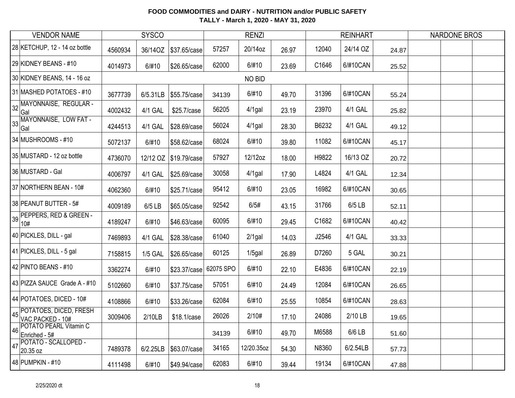| <b>VENDOR NAME</b>                                   | <b>SYSCO</b> |                |                        |           | <b>RENZI</b> |       |       | <b>REINHART</b> |       | <b>NARDONE BROS</b> |
|------------------------------------------------------|--------------|----------------|------------------------|-----------|--------------|-------|-------|-----------------|-------|---------------------|
| 28 KETCHUP, 12 - 14 oz bottle                        | 4560934      | 36/14OZ        | \$37.65/case           | 57257     | 20/14oz      | 26.97 | 12040 | 24/14 OZ        | 24.87 |                     |
| 29 KIDNEY BEANS - #10                                | 4014973      | 6/#10          | \$26.65/case           | 62000     | 6/#10        | 23.69 | C1646 | 6/#10CAN        | 25.52 |                     |
| 30 KIDNEY BEANS, 14 - 16 oz                          |              |                |                        |           | NO BID       |       |       |                 |       |                     |
| 31 MASHED POTATOES - #10                             | 3677739      | 6/5.31LB       | \$55.75/case           | 34139     | 6/#10        | 49.70 | 31396 | 6/#10CAN        | 55.24 |                     |
| 32 MAYONNAISE, REGULAR -<br>Gal                      | 4002432      | 4/1 GAL        | \$25.7/case            | 56205     | 4/1gal       | 23.19 | 23970 | 4/1 GAL         | 25.82 |                     |
| MAYONNAISE, LOW FAT -<br>33<br>Gal                   | 4244513      | 4/1 GAL        | \$28.69/case           | 56024     | 4/1gal       | 28.30 | B6232 | 4/1 GAL         | 49.12 |                     |
| 34 MUSHROOMS - #10                                   | 5072137      | 6/#10          | \$58.62/case           | 68024     | 6/#10        | 39.80 | 11082 | 6/#10CAN        | 45.17 |                     |
| 35 MUSTARD - 12 oz bottle                            | 4736070      |                | 12/12 OZ \$19.79/case  | 57927     | 12/12oz      | 18.00 | H9822 | 16/13 OZ        | 20.72 |                     |
| 36 MUSTARD - Gal                                     | 4006797      | 4/1 GAL        | \$25.69/case           | 30058     | 4/1gal       | 17.90 | L4824 | 4/1 GAL         | 12.34 |                     |
| 37 NORTHERN BEAN - 10#                               | 4062360      | 6/#10          | \$25.71/case           | 95412     | 6/#10        | 23.05 | 16982 | 6/#10CAN        | 30.65 |                     |
| 38 PEANUT BUTTER - 5#                                | 4009189      | 6/5 LB         | \$65.05/case           | 92542     | 6/5#         | 43.15 | 31766 | 6/5 LB          | 52.11 |                     |
| 39 PEPPERS, RED & GREEN -<br>10#                     | 4189247      | 6/#10          | \$46.63/case           | 60095     | 6/#10        | 29.45 | C1682 | 6/#10CAN        | 40.42 |                     |
| 40 PICKLES, DILL - gal                               | 7469893      | 4/1 GAL        | \$28.38/case           | 61040     | $2/1$ gal    | 14.03 | J2546 | 4/1 GAL         | 33.33 |                     |
| 41 PICKLES, DILL - 5 gal                             | 7158815      | <b>1/5 GAL</b> | \$26.65/case           | 60125     | $1/5$ gal    | 26.89 | D7260 | 5 GAL           | 30.21 |                     |
| 42 PINTO BEANS - #10                                 | 3362274      | 6/#10          | \$23.37/case           | 62075 SPO | 6/#10        | 22.10 | E4836 | 6/#10CAN        | 22.19 |                     |
| 43 PIZZA SAUCE Grade A - #10                         | 5102660      | 6/#10          | \$37.75/case           | 57051     | 6/#10        | 24.49 | 12084 | 6/#10CAN        | 26.65 |                     |
| 44 POTATOES, DICED - 10#                             | 4108866      | 6/#10          | \$33.26/case           | 62084     | 6/#10        | 25.55 | 10854 | 6/#10CAN        | 28.63 |                     |
| 45 POTATOES, DICED, FRESH                            | 3009406      | 2/10LB         | \$18.1/case            | 26026     | 2/10#        | 17.10 | 24086 | 2/10 LB         | 19.65 |                     |
| <b>POTATO PEARL Vitamin C</b><br>46<br>Enriched - 5# |              |                |                        | 34139     | 6/#10        | 49.70 | M6588 | 6/6 LB          | 51.60 |                     |
| POTATO - SCALLOPED -<br> 47<br>20.35 oz              | 7489378      |                | 6/2.25LB \\$63.07/case | 34165     | 12/20.35oz   | 54.30 | N8360 | 6/2.54LB        | 57.73 |                     |
| 48 PUMPKIN - #10                                     | 4111498      | 6/#10          | \$49.94/case           | 62083     | 6/#10        | 39.44 | 19134 | 6/#10CAN        | 47.88 |                     |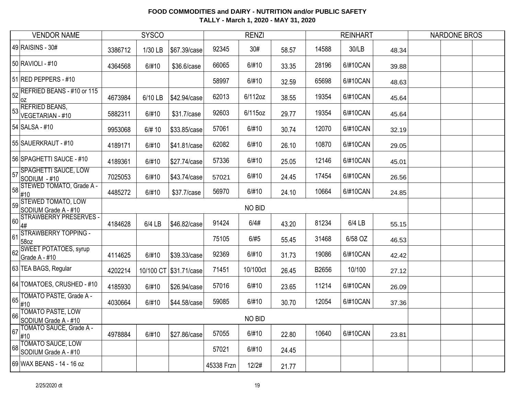| <b>VENDOR NAME</b>                                                                                 |         | <b>SYSCO</b> |                         |            | <b>RENZI</b> |       |       | <b>REINHART</b> |       | <b>NARDONE BROS</b> |
|----------------------------------------------------------------------------------------------------|---------|--------------|-------------------------|------------|--------------|-------|-------|-----------------|-------|---------------------|
| 49 RAISINS - 30#                                                                                   | 3386712 | 1/30 LB      | \$67.39/case            | 92345      | 30#          | 58.57 | 14588 | 30/LB           | 48.34 |                     |
| 50 RAVIOLI - #10                                                                                   | 4364568 | 6/#10        | \$36.6/case             | 66065      | 6/#10        | 33.35 | 28196 | 6/#10CAN        | 39.88 |                     |
| 51 RED PEPPERS - #10                                                                               |         |              |                         | 58997      | 6/#10        | 32.59 | 65698 | 6/#10CAN        | 48.63 |                     |
| REFRIED BEANS - #10 or 115<br>52<br> OZ                                                            | 4673984 | 6/10 LB      | \$42.94/case            | 62013      | 6/112oz      | 38.55 | 19354 | 6/#10CAN        | 45.64 |                     |
| <b>REFRIED BEANS,</b><br>53<br>VEGETARIAN - #10                                                    | 5882311 | 6/#10        | \$31.7/case             | 92603      | 6/115oz      | 29.77 | 19354 | 6/#10CAN        | 45.64 |                     |
| 54 SALSA - #10                                                                                     | 9953068 | 6/# 10       | \$33.85/case            | 57061      | 6/#10        | 30.74 | 12070 | 6/#10CAN        | 32.19 |                     |
| 55 SAUERKRAUT - #10                                                                                | 4189171 | 6/#10        | \$41.81/case            | 62082      | 6/#10        | 26.10 | 10870 | 6/#10CAN        | 29.05 |                     |
| 56 SPAGHETTI SAUCE - #10                                                                           | 4189361 | 6/#10        | \$27.74/case            | 57336      | 6/#10        | 25.05 | 12146 | 6/#10CAN        | 45.01 |                     |
| <b>SPAGHETTI SAUCE, LOW</b><br>57<br>SODIUM - #10                                                  | 7025053 | 6/#10        | \$43.74/case            | 57021      | 6/#10        | 24.45 | 17454 | 6/#10CAN        | 26.56 |                     |
| STEWED TOMATO, Grade A -<br>58<br>#10                                                              | 4485272 | 6/#10        | \$37.7/case             | 56970      | 6/#10        | 24.10 | 10664 | 6/#10CAN        | 24.85 |                     |
| <b>STEWED TOMATO, LOW</b><br>59<br>SODIUM Grade A - #10                                            |         |              |                         |            | NO BID       |       |       |                 |       |                     |
| STRAWBERRY PRESERVES -<br>$\vert$ 60 $\vert$<br>4#                                                 | 4184628 | 6/4 LB       | \$46.82/case            | 91424      | 6/4#         | 43.20 | 81234 | 6/4 LB          | 55.15 |                     |
| STRAWBERRY TOPPING -<br>61<br>58oz                                                                 |         |              |                         | 75105      | 6/#5         | 55.45 | 31468 | 6/58 OZ         | 46.53 |                     |
| <b>SWEET POTATOES, syrup</b><br>62<br>Grade A - #10                                                | 4114625 | 6/#10        | \$39.33/case            | 92369      | 6/#10        | 31.73 | 19086 | 6/#10CAN        | 42.42 |                     |
| 63 TEA BAGS, Regular                                                                               | 4202214 |              | 10/100 CT \\$31.71/case | 71451      | 10/100ct     | 26.45 | B2656 | 10/100          | 27.12 |                     |
| 64 TOMATOES, CRUSHED - #10                                                                         | 4185930 | 6/#10        | \$26.94/case            | 57016      | 6/#10        | 23.65 | 11214 | 6/#10CAN        | 26.09 |                     |
| TOMATO PASTE, Grade A -<br> 65 <br>#10                                                             | 4030664 | 6/#10        | \$44.58/case            | 59085      | 6/#10        | 30.70 | 12054 | 6/#10CAN        | 37.36 |                     |
| <b>TOMATO PASTE, LOW</b><br>66   UWIATO TALLER 4-#10<br>  SODIUM Grade A - #10<br>  TO CALLER Grad |         |              |                         |            | NO BID       |       |       |                 |       |                     |
| 67 TOMATO SAUCE, Grade A -<br>#10                                                                  | 4978884 | 6/#10        | \$27.86/case            | 57055      | 6/#10        | 22.80 | 10640 | 6/#10CAN        | 23.81 |                     |
| 68 TOMATO SAUCE, LOW<br>SODIUM Grade A - #10                                                       |         |              |                         | 57021      | 6/#10        | 24.45 |       |                 |       |                     |
| 69 WAX BEANS - 14 - 16 oz                                                                          |         |              |                         | 45338 Frzn | 12/2#        | 21.77 |       |                 |       |                     |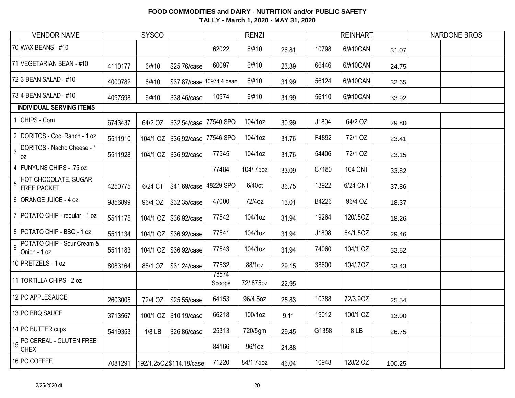| <b>SYSCO</b><br><b>VENDOR NAME</b>                                  |         |          |                                     |                 | <b>RENZI</b> |       |       | <b>REINHART</b> |        | <b>NARDONE BROS</b> |  |
|---------------------------------------------------------------------|---------|----------|-------------------------------------|-----------------|--------------|-------|-------|-----------------|--------|---------------------|--|
| 70 WAX BEANS - #10                                                  |         |          |                                     | 62022           | 6/#10        | 26.81 | 10798 | 6/#10CAN        | 31.07  |                     |  |
| 71 VEGETARIAN BEAN - #10                                            | 4110177 | 6/#10    | \$25.76/case                        | 60097           | 6/#10        | 23.39 | 66446 | 6/#10CAN        | 24.75  |                     |  |
| 72 3-BEAN SALAD - #10                                               | 4000782 | 6/#10    | \$37.87/case 10974 4 bean           |                 | 6/#10        | 31.99 | 56124 | 6/#10CAN        | 32.65  |                     |  |
| 73 4-BEAN SALAD - #10                                               | 4097598 | 6/#10    | \$38.46/case                        | 10974           | 6/#10        | 31.99 | 56110 | 6/#10CAN        | 33.92  |                     |  |
| <b>INDIVIDUAL SERVING ITEMS</b>                                     |         |          |                                     |                 |              |       |       |                 |        |                     |  |
| 1 CHIPS - Corn                                                      | 6743437 | 64/2 OZ  | \$32.54/case                        | 77540 SPO       | 104/1oz      | 30.99 | J1804 | 64/2 OZ         | 29.80  |                     |  |
| 2 DORITOS - Cool Ranch - 1 oz                                       | 5511910 |          | 104/1 OZ   \$36.92/case   77546 SPO |                 | 104/1oz      | 31.76 | F4892 | 72/1 OZ         | 23.41  |                     |  |
| DORITOS - Nacho Cheese - 1<br>$\overline{3}$<br> oz                 | 5511928 |          | 104/1 OZ \\$36.92/case              | 77545           | 104/1oz      | 31.76 | 54406 | 72/1 OZ         | 23.15  |                     |  |
| 4 FUNYUNS CHIPS - .75 oz                                            |         |          |                                     | 77484           | 104/.75oz    | 33.09 | C7180 | <b>104 CNT</b>  | 33.82  |                     |  |
| <b>HOT CHOCOLATE, SUGAR</b><br>$\overline{5}$<br><b>FREE PACKET</b> | 4250775 | 6/24 CT  | \$41.69/case                        | 48229 SPO       | 6/40ct       | 36.75 | 13922 | 6/24 CNT        | 37.86  |                     |  |
| 6 ORANGE JUICE - 4 oz                                               | 9856899 | 96/4 OZ  | \$32.35/case                        | 47000           | 72/4oz       | 13.01 | B4226 | 96/4 OZ         | 18.37  |                     |  |
| 7   POTATO CHIP - regular - 1 oz                                    | 5511175 |          | 104/1 OZ \\$36.92/case              | 77542           | 104/1oz      | 31.94 | 19264 | 120/.5OZ        | 18.26  |                     |  |
| 8 POTATO CHIP - BBQ - 1 oz                                          | 5511134 |          | 104/1 OZ \\$36.92/case              | 77541           | 104/1oz      | 31.94 | J1808 | 64/1.5OZ        | 29.46  |                     |  |
| POTATO CHIP - Sour Cream &<br>$\overline{9}$<br>Onion - 1 oz        | 5511183 |          | 104/1 OZ \$36.92/case               | 77543           | 104/1oz      | 31.94 | 74060 | 104/1 OZ        | 33.82  |                     |  |
| 10 PRETZELS - 1 oz                                                  | 8083164 | 88/1 OZ  | \$31.24/case                        | 77532           | 88/1oz       | 29.15 | 38600 | 104/.70Z        | 33.43  |                     |  |
| 11 TORTILLA CHIPS - 2 oz                                            |         |          |                                     | 78574<br>Scoops | 72/.875oz    | 22.95 |       |                 |        |                     |  |
| 12 PC APPLESAUCE                                                    | 2603005 | 72/4 OZ  | \$25.55/case                        | 64153           | 96/4.5oz     | 25.83 | 10388 | 72/3.90Z        | 25.54  |                     |  |
| 13 PC BBQ SAUCE                                                     | 3713567 |          | 100/1 OZ \$10.19/case               | 66218           | 100/1oz      | 9.11  | 19012 | 100/1 OZ        | 13.00  |                     |  |
| 14 PC BUTTER cups                                                   | 5419353 | $1/8$ LB | \$26.86/case                        | 25313           | 720/5gm      | 29.45 | G1358 | 8LB             | 26.75  |                     |  |
| 15 PC CEREAL - GLUTEN FREE<br>CHEX                                  |         |          |                                     | 84166           | 96/1oz       | 21.88 |       |                 |        |                     |  |
| 16 PC COFFEE                                                        | 7081291 |          | 192/1.25OZ\$114.18/case             | 71220           | 84/1.75oz    | 46.04 | 10948 | 128/2 OZ        | 100.25 |                     |  |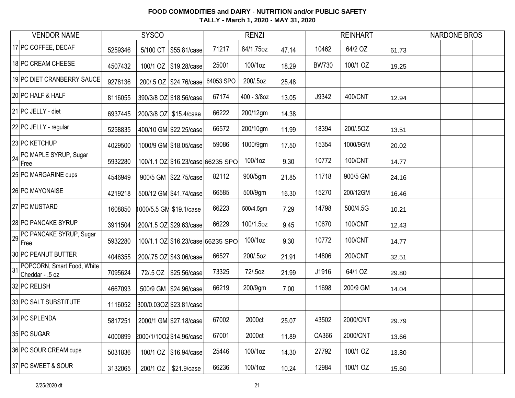| <b>VENDOR NAME</b>                               |         | <b>SYSCO</b> |                                   |           | <b>RENZI</b> |       |              | <b>REINHART</b> |       | <b>NARDONE BROS</b> |
|--------------------------------------------------|---------|--------------|-----------------------------------|-----------|--------------|-------|--------------|-----------------|-------|---------------------|
| 17 PC COFFEE, DECAF                              | 5259346 | 5/100 CT     | \$55.81/case                      | 71217     | 84/1.75oz    | 47.14 | 10462        | 64/2 OZ         | 61.73 |                     |
| 18 PC CREAM CHEESE                               | 4507432 |              | 100/1 OZ \\$19.28/case            | 25001     | 100/1oz      | 18.29 | <b>BW730</b> | 100/1 OZ        | 19.25 |                     |
| 19 PC DIET CRANBERRY SAUCE                       | 9278136 |              | 200/.5 OZ \$24.76/case            | 64053 SPO | 200/.5oz     | 25.48 |              |                 |       |                     |
| 20 PC HALF & HALF                                | 8116055 |              | 390/3/8 OZ \$18.56/case           | 67174     | 400 - 3/8oz  | 13.05 | J9342        | 400/CNT         | 12.94 |                     |
| 21 PC JELLY - diet                               | 6937445 |              | 200/3/8 OZ \$15.4/case            | 66222     | 200/12gm     | 14.38 |              |                 |       |                     |
| 22 PC JELLY - regular                            | 5258835 |              | 400/10 GM \$22.25/case            | 66572     | 200/10gm     | 11.99 | 18394        | 200/.5OZ        | 13.51 |                     |
| 23 PC KETCHUP                                    | 4029500 |              | 1000/9 GM \$18.05/case            | 59086     | 1000/9gm     | 17.50 | 15354        | 1000/9GM        | 20.02 |                     |
| 24 PC MAPLE SYRUP, Sugar<br>Free                 | 5932280 |              | 100/1.1 OZ \$16.23/case 66235 SPO |           | 100/1oz      | 9.30  | 10772        | 100/CNT         | 14.77 |                     |
| 25 PC MARGARINE cups                             | 4546949 |              | 900/5 GM \\$22.75/case            | 82112     | 900/5gm      | 21.85 | 11718        | 900/5 GM        | 24.16 |                     |
| 26 PC MAYONAISE                                  | 4219218 |              | 500/12 GM \$41.74/case            | 66585     | 500/9gm      | 16.30 | 15270        | 200/12GM        | 16.46 |                     |
| 27 PC MUSTARD                                    | 1608850 |              | 1000/5.5 GM \$19.1/case           | 66223     | 500/4.5gm    | 7.29  | 14798        | 500/4.5G        | 10.21 |                     |
| 28 PC PANCAKE SYRUP                              | 3911504 |              | 200/1.5 OZ \$29.63/case           | 66229     | 100/1.5oz    | 9.45  | 10670        | 100/CNT         | 12.43 |                     |
| PC PANCAKE SYRUP, Sugar<br>29<br>Free            | 5932280 |              | 100/1.1 OZ \$16.23/case 66235 SPO |           | 100/1oz      | 9.30  | 10772        | 100/CNT         | 14.77 |                     |
| 30 PC PEANUT BUTTER                              | 4046355 |              | 200/.75 OZ \$43.06/case           | 66527     | 200/.5oz     | 21.91 | 14806        | 200/CNT         | 32.51 |                     |
| 31 POPCORN, Smart Food, White<br>Cheddar - .5 oz | 7095624 |              | 72/.5 OZ   \$25.56/case           | 73325     | 72/.5oz      | 21.99 | J1916        | 64/1 OZ         | 29.80 |                     |
| 32 PC RELISH                                     | 4667093 |              | 500/9 GM \$24.96/case             | 66219     | 200/9gm      | 7.00  | 11698        | 200/9 GM        | 14.04 |                     |
| 33 PC SALT SUBSTITUTE                            | 1116052 |              | 300/0.03OZ \$23.81/case           |           |              |       |              |                 |       |                     |
| 34 PC SPLENDA                                    | 5817251 |              | 2000/1 GM \$27.18/case            | 67002     | 2000ct       | 25.07 | 43502        | 2000/CNT        | 29.79 |                     |
| 35 PC SUGAR                                      | 4000899 |              | 2000/1/10O2 \$14.96/case          | 67001     | 2000ct       | 11.89 | CA366        | 2000/CNT        | 13.66 |                     |
| 36 PC SOUR CREAM cups                            | 5031836 |              | 100/1 OZ \$16.94/case             | 25446     | 100/1oz      | 14.30 | 27792        | 100/1 OZ        | 13.80 |                     |
| 37 PC SWEET & SOUR                               | 3132065 | 200/1 OZ     | \$21.9/case                       | 66236     | 100/1oz      | 10.24 | 12984        | 100/1 OZ        | 15.60 |                     |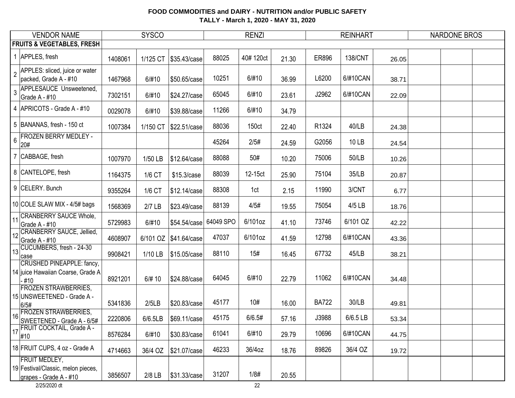| <b>VENDOR NAME</b>                                                                            |         | <b>SYSCO</b> |                         |           | <b>RENZI</b>      |       |              | <b>REINHART</b> |       | <b>NARDONE BROS</b> |  |
|-----------------------------------------------------------------------------------------------|---------|--------------|-------------------------|-----------|-------------------|-------|--------------|-----------------|-------|---------------------|--|
| <b>FRUITS &amp; VEGETABLES, FRESH</b>                                                         |         |              |                         |           |                   |       |              |                 |       |                     |  |
| $\overline{1}$<br>APPLES, fresh                                                               | 1408061 | 1/125 CT     | \$35.43/case            | 88025     | 40#120ct          | 21.30 | ER896        | 138/CNT         | 26.05 |                     |  |
| APPLES: sliced, juice or water<br>$\overline{2}$<br>packed, Grade A - #10                     | 1467968 | 6/#10        | \$50.65/case            | 10251     | 6/#10             | 36.99 | L6200        | 6/#10CAN        | 38.71 |                     |  |
| <b>APPLESAUCE Unsweetened,</b><br>$\mathbf{3}$<br>Grade A - #10                               | 7302151 | 6/#10        | \$24.27/case            | 65045     | 6/#10             | 23.61 | J2962        | 6/#10CAN        | 22.09 |                     |  |
| 4 APRICOTS - Grade A - #10                                                                    | 0029078 | 6/#10        | \$39.88/case            | 11266     | 6/#10             | 34.79 |              |                 |       |                     |  |
| 5 BANANAS, fresh - 150 ct                                                                     | 1007384 | 1/150 CT     | \$22.51/case            | 88036     | 150 <sub>ct</sub> | 22.40 | R1324        | 40/LB           | 24.38 |                     |  |
| <b>FROZEN BERRY MEDLEY -</b><br>$6\phantom{a}$<br>20#                                         |         |              |                         | 45264     | 2/5#              | 24.59 | G2056        | 10 LB           | 24.54 |                     |  |
| 7 CABBAGE, fresh                                                                              | 1007970 | 1/50 LB      | \$12.64/case            | 88088     | 50#               | 10.20 | 75006        | 50/LB           | 10.26 |                     |  |
| 8 CANTELOPE, fresh                                                                            | 1164375 | 1/6 CT       | \$15.3/case             | 88039     | 12-15ct           | 25.90 | 75104        | 35/LB           | 20.87 |                     |  |
| 9 CELERY. Bunch                                                                               | 9355264 | 1/6 CT       | \$12.14/case            | 88308     | 1ct               | 2.15  | 11990        | 3/CNT           | 6.77  |                     |  |
| 10 COLE SLAW MIX - 4/5# bags                                                                  | 1568369 | $2/7$ LB     | \$23.49/case            | 88139     | 4/5#              | 19.55 | 75054        | 4/5 LB          | 18.76 |                     |  |
| 11 CRANBERRY SAUCE Whole,<br>Grade A - #10                                                    | 5729983 | 6/#10        | \$54.54/case            | 64049 SPO | 6/101oz           | 41.10 | 73746        | 6/101 OZ        | 42.22 |                     |  |
| 12 CRANBERRY SAUCE, Jellied,<br>Grade A - #10                                                 | 4608907 |              | 6/101 OZ   \$41.64/case | 47037     | 6/101oz           | 41.59 | 12798        | 6/#10CAN        | 43.36 |                     |  |
| 13 CUCUMBERS, fresh - 24-30<br>case                                                           | 9908421 | 1/10 LB      | \$15.05/case            | 88110     | 15#               | 16.45 | 67732        | 45/LB           | 38.21 |                     |  |
| <b>CRUSHED PINEAPPLE: fancy,</b><br>14 juice Hawaiian Coarse, Grade A<br>-#10                 | 8921201 | 6/# 10       | \$24.88/case            | 64045     | 6/#10             | 22.79 | 11062        | 6/#10CAN        | 34.48 |                     |  |
| <b>FROZEN STRAWBERRIES,</b><br>15 UNSWEETENED - Grade A -<br>6/5#                             | 5341836 | 2/5LB        | \$20.83/case            | 45177     | 10#               | 16.00 | <b>BA722</b> | 30/LB           | 49.81 |                     |  |
| 16 FROZEN STRAWBERRIES,<br>SWEETENED - Grade A - 6/5#                                         | 2220806 | 6/6.5LB      | \$69.11/case            | 45175     | 6/6.5#            | 57.16 | J3988        | 6/6.5 LB        | 53.34 |                     |  |
| 17 FRUIT COCKTAIL, Grade A -<br>#10                                                           | 8576284 | 6/#10        | \$30.83/case            | 61041     | 6/#10             | 29.79 | 10696        | 6/#10CAN        | 44.75 |                     |  |
| 18 FRUIT CUPS, 4 oz - Grade A                                                                 | 4714663 | 36/4 OZ      | \$21.07/case            | 46233     | 36/4oz            | 18.76 | 89826        | 36/4 OZ         | 19.72 |                     |  |
| FRUIT MEDLEY,<br>19 Festival/Classic, melon pieces,<br>grapes - Grade A - #10<br>2/25/2020 dt | 3856507 | $2/8$ LB     | \$31.33/case            | 31207     | 1/8#<br>22        | 20.55 |              |                 |       |                     |  |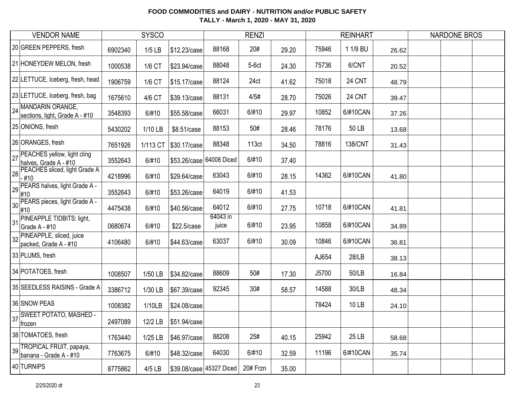|    | <b>VENDOR NAME</b>                                    |         | <b>SYSCO</b> |              |                          | <b>RENZI</b> |       |       | <b>REINHART</b> |       | <b>NARDONE BROS</b> |
|----|-------------------------------------------------------|---------|--------------|--------------|--------------------------|--------------|-------|-------|-----------------|-------|---------------------|
|    | 20 GREEN PEPPERS, fresh                               | 6902340 | $1/5$ LB     | \$12.23/case | 88168                    | 20#          | 29.20 | 75946 | 1 1/9 BU        | 26.62 |                     |
|    | 21 HONEYDEW MELON, fresh                              | 1000538 | 1/6 CT       | \$23.94/case | 88048                    | $5-6ct$      | 24.30 | 75736 | 6/CNT           | 20.52 |                     |
|    | 22 LETTUCE, Iceberg, fresh, head                      | 1906759 | 1/6 CT       | \$15.17/case | 88124                    | 24ct         | 41.62 | 75018 | 24 CNT          | 48.79 |                     |
|    | 23 LETTUCE, Iceberg, fresh, bag                       | 1675610 | 4/6 CT       | \$39.13/case | 88131                    | 4/5#         | 28.70 | 75026 | 24 CNT          | 39.47 |                     |
|    | 24 MANDARIN ORANGE,<br>sections, light, Grade A - #10 | 3548393 | 6/#10        | \$55.58/case | 66031                    | 6/#10        | 29.97 | 10852 | 6/#10CAN        | 37.26 |                     |
|    | 25 ONIONS, fresh                                      | 5430202 | 1/10 LB      | \$8.51/case  | 88153                    | 50#          | 28.46 | 78176 | 50 LB           | 13.68 |                     |
|    | 26 ORANGES, fresh                                     | 7651926 | 1/113 CT     | \$30.17/case | 88348                    | 113ct        | 34.50 | 78816 | <b>138/CNT</b>  | 31.43 |                     |
| 27 | PEACHES yellow, light cling<br>halves, Grade A - #10  | 3552643 | 6/#10        |              | \$53.26/case 64008 Diced | 6/#10        | 37.40 |       |                 |       |                     |
| 28 | PEACHES sliced, light Grade A<br>- #10                | 4218996 | 6/#10        | \$29.64/case | 63043                    | 6/#10        | 28.15 | 14362 | 6/#10CAN        | 41.80 |                     |
| 29 | PEARS halves, light Grade A -<br>#10                  | 3552643 | 6/#10        | \$53.26/case | 64019                    | 6/#10        | 41.53 |       |                 |       |                     |
| 30 | PEARS pieces, light Grade A -<br>#10                  | 4475438 | 6/#10        | \$40.56/case | 64012                    | 6/#10        | 27.75 | 10718 | 6/#10CAN        | 41.81 |                     |
| 31 | PINEAPPLE TIDBITS: light,<br>Grade A - #10            | 0680674 | 6/#10        | \$22.5/case  | 64043 in<br>juice        | 6/#10        | 23.95 | 10858 | 6/#10CAN        | 34.89 |                     |
|    | 32 PINEAPPLE, sliced, juice<br>packed, Grade A - #10  | 4106480 | 6/#10        | \$44.63/case | 63037                    | 6/#10        | 30.09 | 10846 | 6/#10CAN        | 36.81 |                     |
|    | 33 PLUMS, fresh                                       |         |              |              |                          |              |       | AJ654 | 28/LB           | 38.13 |                     |
|    | 34 POTATOES, fresh                                    | 1008507 | 1/50 LB      | \$34.82/case | 88609                    | 50#          | 17.30 | J5700 | 50/LB           | 16.84 |                     |
|    | 35 SEEDLESS RAISINS - Grade A                         | 3386712 | 1/30 LB      | \$67.39/case | 92345                    | 30#          | 58.57 | 14588 | 30/LB           | 48.34 |                     |
|    | 36 SNOW PEAS                                          | 1008382 | 1/10LB       | \$24.08/case |                          |              |       | 78424 | 10 LB           | 24.10 |                     |
|    | 37 SWEET POTATO, MASHED -<br>∣frozen                  | 2497089 | 12/2 LB      | \$51.94/case |                          |              |       |       |                 |       |                     |
|    | 38 TOMATOES, fresh                                    | 1763440 | $1/25$ LB    | \$46.97/case | 88208                    | 25#          | 40.15 | 25942 | 25 LB           | 58.68 |                     |
| 39 | TROPICAL FRUIT, papaya,<br>banana - Grade A - #10     | 7763675 | 6/#10        | \$48.32/case | 64030                    | 6/#10        | 32.59 | 11196 | 6/#10CAN        | 35.74 |                     |
|    | 40 TURNIPS                                            | 8775862 | 4/5 LB       |              | \$39.08/case 45327 Diced | 20# Frzn     | 35.00 |       |                 |       |                     |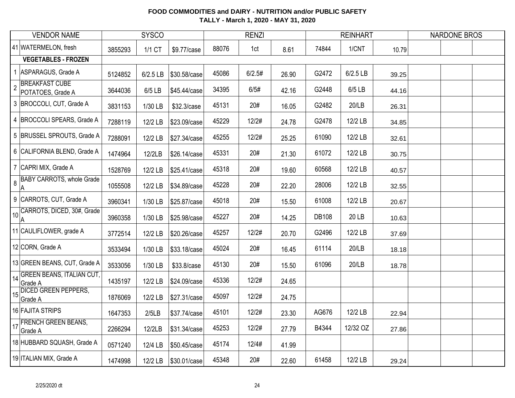|                | <b>VENDOR NAME</b>                                 | <b>SYSCO</b> |          |              |       | <b>RENZI</b> |       |              | <b>REINHART</b> |       | <b>NARDONE BROS</b> |  |
|----------------|----------------------------------------------------|--------------|----------|--------------|-------|--------------|-------|--------------|-----------------|-------|---------------------|--|
|                | 41 WATERMELON, fresh                               | 3855293      | 1/1 CT   | \$9.77/case  | 88076 | 1ct          | 8.61  | 74844        | 1/CNT           | 10.79 |                     |  |
|                | <b>VEGETABLES - FROZEN</b>                         |              |          |              |       |              |       |              |                 |       |                     |  |
|                | 1 ASPARAGUS, Grade A                               | 5124852      | 6/2.5 LB | \$30.58/case | 45086 | 6/2.5#       | 26.90 | G2472        | 6/2.5 LB        | 39.25 |                     |  |
| $\overline{2}$ | <b>BREAKFAST CUBE</b><br>POTATOES, Grade A         | 3644036      | 6/5 LB   | \$45.44/case | 34395 | 6/5#         | 42.16 | G2448        | 6/5 LB          | 44.16 |                     |  |
|                | 3 BROCCOLI, CUT, Grade A                           | 3831153      | 1/30 LB  | \$32.3/case  | 45131 | 20#          | 16.05 | G2482        | 20/LB           | 26.31 |                     |  |
|                | 4 BROCCOLI SPEARS, Grade A                         | 7288119      | 12/2 LB  | \$23.09/case | 45229 | 12/2#        | 24.78 | G2478        | 12/2 LB         | 34.85 |                     |  |
|                | 5 BRUSSEL SPROUTS, Grade A                         | 7288091      | 12/2 LB  | \$27.34/case | 45255 | 12/2#        | 25.25 | 61090        | 12/2 LB         | 32.61 |                     |  |
|                | 6 CALIFORNIA BLEND, Grade A                        | 1474964      | 12/2LB   | \$26.14/case | 45331 | 20#          | 21.30 | 61072        | 12/2 LB         | 30.75 |                     |  |
|                | 7 CAPRI MIX, Grade A                               | 1528769      | 12/2 LB  | \$25.41/case | 45318 | 20#          | 19.60 | 60568        | 12/2 LB         | 40.57 |                     |  |
| 8              | <b>BABY CARROTS, whole Grade</b><br>$\overline{A}$ | 1055508      | 12/2 LB  | \$34.89/case | 45228 | 20#          | 22.20 | 28006        | 12/2 LB         | 32.55 |                     |  |
|                | 9 CARROTS, CUT, Grade A                            | 3960341      | 1/30 LB  | \$25.87/case | 45018 | 20#          | 15.50 | 61008        | 12/2 LB         | 20.67 |                     |  |
|                | 10 CARROTS, DICED, 30#, Grade<br>A                 | 3960358      | 1/30 LB  | \$25.98/case | 45227 | 20#          | 14.25 | <b>DB108</b> | 20 LB           | 10.63 |                     |  |
|                | 11 CAULIFLOWER, grade A                            | 3772514      | 12/2 LB  | \$20.26/case | 45257 | 12/2#        | 20.70 | G2496        | 12/2 LB         | 37.69 |                     |  |
|                | 12 CORN, Grade A                                   | 3533494      | 1/30 LB  | \$33.18/case | 45024 | 20#          | 16.45 | 61114        | 20/LB           | 18.18 |                     |  |
|                | 13 GREEN BEANS, CUT, Grade A                       | 3533056      | 1/30 LB  | \$33.8/case  | 45130 | 20#          | 15.50 | 61096        | 20/LB           | 18.78 |                     |  |
|                | 14 GREEN BEANS, ITALIAN CUT,<br>Grade A            | 1435197      | 12/2 LB  | \$24.09/case | 45336 | 12/2#        | 24.65 |              |                 |       |                     |  |
|                | 15 DICED GREEN PEPPERS,<br>Grade A                 | 1876069      | 12/2 LB  | \$27.31/case | 45097 | 12/2#        | 24.75 |              |                 |       |                     |  |
|                | 16 FAJITA STRIPS                                   | 1647353      | 2/5LB    | \$37.74/case | 45101 | 12/2#        | 23.30 | AG676        | 12/2 LB         | 22.94 |                     |  |
|                | 17 FRENCH GREEN BEANS,<br>Grade A                  | 2266294      | 12/2LB   | \$31.34/case | 45253 | 12/2#        | 27.79 | B4344        | 12/32 OZ        | 27.86 |                     |  |
|                | 18 HUBBARD SQUASH, Grade A                         | 0571240      | 12/4 LB  | \$50.45/case | 45174 | 12/4#        | 41.99 |              |                 |       |                     |  |
|                | 19 ITALIAN MIX, Grade A                            | 1474998      | 12/2 LB  | \$30.01/case | 45348 | 20#          | 22.60 | 61458        | 12/2 LB         | 29.24 |                     |  |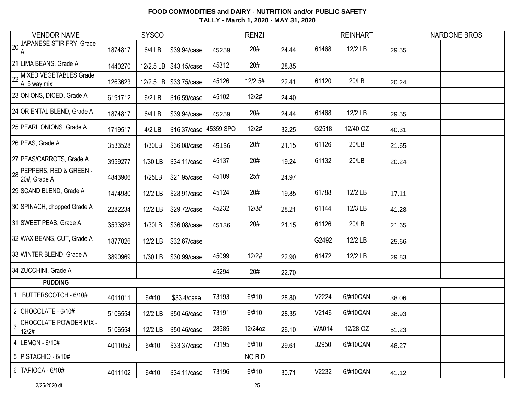| <b>VENDOR NAME</b>                                       | <b>SYSCO</b> |          |                          | <b>RENZI</b> |         |       |              | <b>REINHART</b> |       | <b>NARDONE BROS</b> |  |
|----------------------------------------------------------|--------------|----------|--------------------------|--------------|---------|-------|--------------|-----------------|-------|---------------------|--|
| 20 JAPANESE STIR FRY, Grade<br>ΙA                        | 1874817      | 6/4 LB   | \$39.94/case             | 45259        | 20#     | 24.44 | 61468        | 12/2 LB         | 29.55 |                     |  |
| 21 LIMA BEANS, Grade A                                   | 1440270      |          | 12/2.5 LB   \$43.15/case | 45312        | 20#     | 28.85 |              |                 |       |                     |  |
| 22 MIXED VEGETABLES Grade<br>A, 5 way mix                | 1263623      |          | 12/2.5 LB \\$33.75/case  | 45126        | 12/2.5# | 22.41 | 61120        | 20/LB           | 20.24 |                     |  |
| 23 ONIONS, DICED, Grade A                                | 6191712      | $6/2$ LB | \$16.59/case             | 45102        | 12/2#   | 24.40 |              |                 |       |                     |  |
| 24 ORIENTAL BLEND, Grade A                               | 1874817      | 6/4 LB   | \$39.94/case             | 45259        | 20#     | 24.44 | 61468        | 12/2 LB         | 29.55 |                     |  |
| 25 PEARL ONIONS. Grade A                                 | 1719517      | $4/2$ LB | \$16.37/case             | 45359 SPO    | 12/2#   | 32.25 | G2518        | 12/40 OZ        | 40.31 |                     |  |
| 26 PEAS, Grade A                                         | 3533528      | 1/30LB   | \$36.08/case             | 45136        | 20#     | 21.15 | 61126        | 20/LB           | 21.65 |                     |  |
| 27 PEAS/CARROTS, Grade A                                 | 3959277      | 1/30 LB  | \$34.11/case             | 45137        | 20#     | 19.24 | 61132        | 20/LB           | 20.24 |                     |  |
| 28 PEPPERS, RED & GREEN -<br>20#, Grade A                | 4843906      | 1/25LB   | \$21.95/case             | 45109        | 25#     | 24.97 |              |                 |       |                     |  |
| 29 SCAND BLEND, Grade A                                  | 1474980      | 12/2 LB  | \$28.91/case             | 45124        | 20#     | 19.85 | 61788        | 12/2 LB         | 17.11 |                     |  |
| 30 SPINACH, chopped Grade A                              | 2282234      | 12/2 LB  | \$29.72/case             | 45232        | 12/3#   | 28.21 | 61144        | 12/3 LB         | 41.28 |                     |  |
| 31 SWEET PEAS, Grade A                                   | 3533528      | 1/30LB   | \$36.08/case             | 45136        | 20#     | 21.15 | 61126        | 20/LB           | 21.65 |                     |  |
| 32 WAX BEANS, CUT, Grade A                               | 1877026      | 12/2 LB  | \$32.67/case             |              |         |       | G2492        | 12/2 LB         | 25.66 |                     |  |
| 33 WINTER BLEND, Grade A                                 | 3890969      | 1/30 LB  | \$30.99/case             | 45099        | 12/2#   | 22.90 | 61472        | 12/2 LB         | 29.83 |                     |  |
| 34 ZUCCHINI. Grade A                                     |              |          |                          | 45294        | 20#     | 22.70 |              |                 |       |                     |  |
| <b>PUDDING</b>                                           |              |          |                          |              |         |       |              |                 |       |                     |  |
| BUTTERSCOTCH - 6/10#<br>1                                | 4011011      | 6/#10    | \$33.4/case              | 73193        | 6/#10   | 28.80 | V2224        | 6/#10CAN        | 38.06 |                     |  |
| 2 CHOCOLATE - $6/10#$                                    | 5106554      | 12/2 LB  | \$50.46/case             | 73191        | 6/#10   | 28.35 | V2146        | 6/#10CAN        | 38.93 |                     |  |
| <b>CHOCOLATE POWDER MIX -</b><br>$\mathfrak{Z}$<br>12/2# | 5106554      | 12/2 LB  | \$50.46/case             | 28585        | 12/24oz | 26.10 | <b>WA014</b> | 12/28 OZ        | 51.23 |                     |  |
| 4  LEMON - 6/10#                                         | 4011052      | 6/#10    | \$33.37/case             | 73195        | 6/#10   | 29.61 | J2950        | 6/#10CAN        | 48.27 |                     |  |
| 5   PISTACHIO - 6/10#                                    |              |          |                          |              | NO BID  |       |              |                 |       |                     |  |
| 6   TAPIOCA - $6/10#$                                    | 4011102      | 6/#10    | \$34.11/case             | 73196        | 6/#10   | 30.71 | V2232        | 6/#10CAN        | 41.12 |                     |  |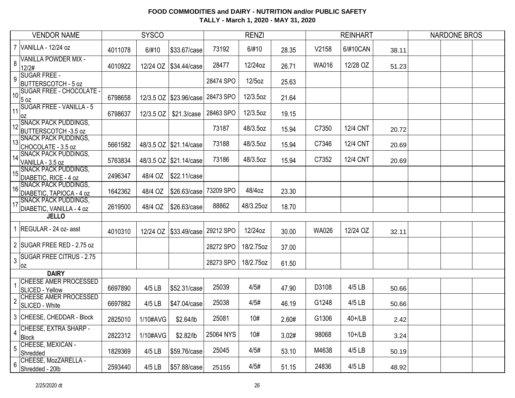|                 | <b>VENDOR NAME</b>                                      | <b>SYSCO</b> |           |                          | <b>RENZI</b> |           |       |              | <b>REINHART</b> |       | <b>NARDONE BROS</b> |  |  |
|-----------------|---------------------------------------------------------|--------------|-----------|--------------------------|--------------|-----------|-------|--------------|-----------------|-------|---------------------|--|--|
|                 | 7 VANILLA - 12/24 oz                                    | 4011078      | 6/#10     | \$33.67/case             | 73192        | 6/#10     | 28.35 | V2158        | 6/#10CAN        | 38.11 |                     |  |  |
| 8               | VANILLA POWDER MIX -<br>12/2#                           | 4010922      | 12/24 OZ  | \$34.44/case             | 28477        | 12/24oz   | 26.71 | <b>WA016</b> | 12/28 OZ        | 51.23 |                     |  |  |
| 9               | <b>SUGAR FREE -</b><br><b>BUTTERSCOTCH - 5 oz</b>       |              |           |                          | 28474 SPO    | 12/5oz    | 25.63 |              |                 |       |                     |  |  |
| 10 <sup>1</sup> | SUGAR FREE - CHOCOLATE -<br>5 oz                        | 6798658      |           | 12/3.5 OZ   \$23.96/case | 28473 SPO    | 12/3.5oz  | 21.64 |              |                 |       |                     |  |  |
| 11              | <b>SUGAR FREE - VANILLA - 5</b><br>loz                  | 6798637      | 12/3.5 OZ | \$21.3/case              | 28463 SPO    | 12/3.5oz  | 19.15 |              |                 |       |                     |  |  |
|                 | 12 SNACK PACK PUDDINGS,<br>BUTTERSCOTCH -3.5 oz         |              |           |                          | 73187        | 48/3.5oz  | 15.94 | C7350        | <b>12/4 CNT</b> | 20.72 |                     |  |  |
| 13              | <b>SNACK PACK PUDDINGS,</b><br>CHOCOLATE - 3.5 oz       | 5661582      |           | 48/3.5 OZ \$21.14/case   | 73188        | 48/3.5oz  | 15.94 | C7346        | <b>12/4 CNT</b> | 20.69 |                     |  |  |
| 14              | <b>SNACK PACK PUDDINGS,</b><br>VANILLA - 3.5 oz         | 5763834      |           | 48/3.5 OZ \$21.14/case   | 73186        | 48/3.5oz  | 15.94 | C7352        | <b>12/4 CNT</b> | 20.69 |                     |  |  |
| 15              | <b>SNACK PACK PUDDINGS,</b><br>DIABETIC, RICE - 4 oz    | 2496347      | 48/4 OZ   | \$22.11/case             |              |           |       |              |                 |       |                     |  |  |
| 16              | <b>SNACK PACK PUDDINGS,</b><br>DIABETIC, TAPIOCA - 4 oz | 1642362      | 48/4 OZ   | \$26.63/case             | 73209 SPO    | 48/4oz    | 23.30 |              |                 |       |                     |  |  |
| 17              | <b>SNACK PACK PUDDINGS,</b><br>DIABETIC, VANILLA - 4 oz | 2619500      | 48/4 OZ   | \$26.63/case             | 88862        | 48/3.25oz | 18.70 |              |                 |       |                     |  |  |
|                 | <b>JELLO</b>                                            |              |           |                          |              |           |       |              |                 |       |                     |  |  |
|                 | 1 REGULAR - 24 oz- asst                                 | 4010310      | 12/24 OZ  | \$33.49/case             | 29212 SPO    | 12/24oz   | 30.00 | <b>WA026</b> | 12/24 OZ        | 32.11 |                     |  |  |
|                 | 2 SUGAR FREE RED - 2.75 oz                              |              |           |                          | 28272 SPO    | 18/2.75oz | 37.00 |              |                 |       |                     |  |  |
| 3               | <b>SUGAR FREE CITRUS - 2.75</b><br>0Z                   |              |           |                          | 28273 SPO    | 18/2.75oz | 61.50 |              |                 |       |                     |  |  |
|                 | <b>DAIRY</b>                                            |              |           |                          |              |           |       |              |                 |       |                     |  |  |
|                 | <b>CHEESE AMER PROCESSED</b><br>SLICED - Yellow         | 6697890      | 4/5 LB    | \$52.31/case             | 25039        | 4/5#      | 47.90 | D3108        | 4/5 LB          | 50.66 |                     |  |  |
| $\overline{2}$  | CHEESE AMER PROCESSED<br>SLICED - White                 | 6697882      | 4/5 LB    | \$47.04/case             | 25038        | 4/5#      | 46.19 | G1248        | 4/5 LB          | 50.66 |                     |  |  |
|                 | 3 CHEESE, CHEDDAR - Block                               | 2825010      | 1/10#AVG  | \$2.64/lb                | 25081        | 10#       | 2.60# | G1306        | $40+1$ LB       | 2.42  |                     |  |  |
| 4               | CHEESE, EXTRA SHARP -<br>Block                          | 2822312      | 1/10#AVG  | \$2.82/lb                | 25064 NYS    | 10#       | 3.02# | 98068        | $10+1$ LB       | 3.24  |                     |  |  |
| 5               | CHEESE, MEXICAN -<br>Shredded                           | 1829369      | 4/5 LB    | \$59.76/case             | 25045        | 4/5#      | 53.10 | M4638        | 4/5 LB          | 50.19 |                     |  |  |
| 6               | CHEESE, MozZARELLA -<br>Shredded - 20lb                 | 2593440      | 4/5 LB    | \$57.88/case             | 25155        | 4/5#      | 51.15 | 24836        | 4/5 LB          | 48.92 |                     |  |  |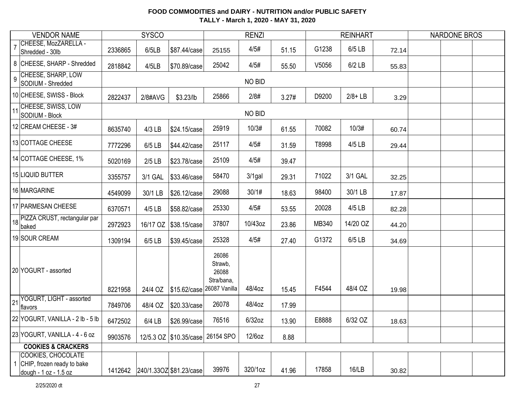| <b>VENDOR NAME</b>                                                                 |         | <b>SYSCO</b> |                                      |                                         | <b>RENZI</b> |       |       | <b>REINHART</b> |       | <b>NARDONE BROS</b> |
|------------------------------------------------------------------------------------|---------|--------------|--------------------------------------|-----------------------------------------|--------------|-------|-------|-----------------|-------|---------------------|
| CHEESE, MozZARELLA -<br>$\overline{7}$<br>Shredded - 30lb                          | 2336865 | 6/5LB        | \$87.44/case                         | 25155                                   | 4/5#         | 51.15 | G1238 | 6/5 LB          | 72.14 |                     |
| 8 CHEESE, SHARP - Shredded                                                         | 2818842 | 4/5LB        | \$70.89/case                         | 25042                                   | 4/5#         | 55.50 | V5056 | $6/2$ LB        | 55.83 |                     |
| CHEESE, SHARP, LOW<br>$\overline{9}$<br>SODIUM - Shredded                          |         |              |                                      |                                         | NO BID       |       |       |                 |       |                     |
| 10 CHEESE, SWISS - Block                                                           | 2822437 | 2/8#AVG      | \$3.23/lb                            | 25866                                   | 2/8#         | 3.27# | D9200 | $2/8 + LB$      | 3.29  |                     |
| 11 CHEESE, SWISS, LOW<br>SODIUM - Block                                            |         |              |                                      |                                         | NO BID       |       |       |                 |       |                     |
| 12 CREAM CHEESE - 3#                                                               | 8635740 | 4/3 LB       | \$24.15/case                         | 25919                                   | 10/3#        | 61.55 | 70082 | 10/3#           | 60.74 |                     |
| 13 COTTAGE CHEESE                                                                  | 7772296 | 6/5 LB       | \$44.42/case                         | 25117                                   | 4/5#         | 31.59 | T8998 | 4/5 LB          | 29.44 |                     |
| 14 COTTAGE CHEESE, 1%                                                              | 5020169 | $2/5$ LB     | \$23.78/case                         | 25109                                   | 4/5#         | 39.47 |       |                 |       |                     |
| 15 LIQUID BUTTER                                                                   | 3355757 | 3/1 GAL      | \$33.46/case                         | 58470                                   | 3/1gal       | 29.31 | 71022 | 3/1 GAL         | 32.25 |                     |
| 16 MARGARINE                                                                       | 4549099 | 30/1 LB      | \$26.12/case                         | 29088                                   | 30/1#        | 18.63 | 98400 | 30/1 LB         | 17.87 |                     |
| 17 PARMESAN CHEESE                                                                 | 6370571 | 4/5 LB       | \$58.82/case                         | 25330                                   | 4/5#         | 53.55 | 20028 | 4/5 LB          | 82.28 |                     |
| 18 PIZZA CRUST, rectangular par<br>baked                                           | 2972923 | 16/17 OZ     | \$38.15/case                         | 37807                                   | 10/43oz      | 23.86 | MB340 | 14/20 OZ        | 44.20 |                     |
| 19 SOUR CREAM                                                                      | 1309194 | 6/5 LB       | \$39.45/case                         | 25328                                   | 4/5#         | 27.40 | G1372 | 6/5 LB          | 34.69 |                     |
| 20 YOGURT - assorted                                                               | 8221958 | 24/4 OZ      | \$15.62/case 26087 Vanilla           | 26086<br>Strawb,<br>26088<br>Stra/bana, | 48/4oz       | 15.45 | F4544 | 48/4 OZ         | 19.98 |                     |
| YOGURT, LIGHT - assorted<br>21<br>flavors                                          | 7849706 | 48/4 OZ      | \$20.33/case                         | 26078                                   | 48/4oz       | 17.99 |       |                 |       |                     |
| 22 YOGURT, VANILLA - 2 lb - 5 lb                                                   | 6472502 | 6/4 LB       | \$26.99/case                         | 76516                                   | 6/32oz       | 13.90 | E8888 | 6/32 OZ         | 18.63 |                     |
| 23 YOGURT, VANILLA - 4 - 6 oz                                                      | 9903576 |              | 12/5.3 OZ   \$10.35/case   26154 SPO |                                         | $12/6$ oz    | 8.88  |       |                 |       |                     |
| <b>COOKIES &amp; CRACKERS</b>                                                      |         |              |                                      |                                         |              |       |       |                 |       |                     |
| <b>COOKIES, CHOCOLATE</b><br>1 CHIP, frozen ready to bake<br>dough - 1 oz - 1.5 oz |         |              | 1412642 240/1.33OZ \$81.23/case      | 39976                                   | 320/1oz      | 41.96 | 17858 | 16/LB           | 30.82 |                     |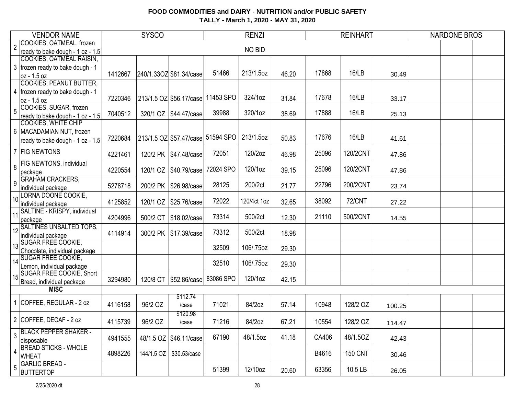| <b>VENDOR NAME</b> |                                                            |         | <b>SYSCO</b> |                                   | <b>RENZI</b> |             |       |       | <b>REINHART</b> |        | <b>NARDONE BROS</b> |
|--------------------|------------------------------------------------------------|---------|--------------|-----------------------------------|--------------|-------------|-------|-------|-----------------|--------|---------------------|
| $\overline{2}$     | COOKIES, OATMEAL, frozen                                   |         |              |                                   |              | NO BID      |       |       |                 |        |                     |
|                    | ready to bake dough - 1 oz - 1.5                           |         |              |                                   |              |             |       |       |                 |        |                     |
|                    | COOKIES, OATMEAL RAISIN,                                   |         |              |                                   |              |             |       |       |                 |        |                     |
|                    | 3   frozen ready to bake dough - 1                         | 1412667 |              | 240/1.33OZ \$81.34/case           | 51466        | 213/1.5oz   | 46.20 | 17868 | 16/LB           | 30.49  |                     |
|                    | oz - 1.5 oz<br><b>COOKIES, PEANUT BUTTER,</b>              |         |              |                                   |              |             |       |       |                 |        |                     |
|                    | 4   frozen ready to bake dough - 1                         |         |              |                                   |              |             |       |       |                 |        |                     |
|                    | oz - 1.5 oz                                                | 7220346 |              | 213/1.5 OZ \$56.17/case 11453 SPO |              | 324/1oz     | 31.84 | 17678 | 16/LB           | 33.17  |                     |
|                    | COOKIES, SUGAR, frozen                                     |         |              |                                   |              |             |       |       |                 |        |                     |
| 5                  | ready to bake dough - 1 oz - 1.5                           | 7040512 |              | 320/1 OZ   \$44.47/case           | 39988        | 320/1oz     | 38.69 | 17888 | 16/LB           | 25.13  |                     |
|                    | COOKIES, WHITE CHIP                                        |         |              |                                   |              |             |       |       |                 |        |                     |
|                    | 6   MACADAMIAN NUT, frozen                                 |         |              |                                   |              |             |       |       |                 |        |                     |
|                    | ready to bake dough - 1 oz - $1.5$                         | 7220684 |              | 213/1.5 OZ \$57.47/case 51594 SPO |              | 213/1.5oz   | 50.83 | 17676 | 16/LB           | 41.61  |                     |
|                    | 7 FIG NEWTONS                                              | 4221461 |              | 120/2 PK   \$47.48/case           | 72051        | 120/2oz     | 46.98 | 25096 | 120/2CNT        | 47.86  |                     |
|                    | FIG NEWTONS, individual                                    |         |              |                                   |              |             |       |       |                 |        |                     |
| 8                  | package                                                    | 4220554 |              | 120/1 OZ   \$40.79/case           | 72024 SPO    | 120/1oz     | 39.15 | 25096 | 120/2CNT        | 47.86  |                     |
| 9                  | <b>GRAHAM CRACKERS,</b>                                    |         |              |                                   |              |             |       |       |                 |        |                     |
|                    | individual package                                         | 5278718 |              | 200/2 PK   \$26.98/case           | 28125        | 200/2ct     | 21.77 | 22796 | 200/2CNT        | 23.74  |                     |
| 10                 | LORNA DOONE COOKIE,                                        |         |              |                                   | 72022        | 120/4ct 1oz |       | 38092 | <b>72/CNT</b>   |        |                     |
|                    | individual package                                         | 4125852 | 120/1 OZ     | \$25.76/case                      |              |             | 32.65 |       |                 | 27.22  |                     |
| 11                 | SALTINE - KRISPY, individual<br>package                    | 4204996 | 500/2 CT     | \$18.02/case                      | 73314        | 500/2ct     | 12.30 | 21110 | 500/2CNT        | 14.55  |                     |
| 12                 | <b>SALTINES UNSALTED TOPS,</b>                             |         |              |                                   |              |             |       |       |                 |        |                     |
|                    | individual package                                         | 4114914 |              | 300/2 PK   \$17.39/case           | 73312        | 500/2ct     | 18.98 |       |                 |        |                     |
| 13                 | <b>SUGAR FREE COOKIE,</b>                                  |         |              |                                   | 32509        | 106/.75oz   | 29.30 |       |                 |        |                     |
|                    | Chocolate, individual package<br><b>SUGAR FREE COOKIE,</b> |         |              |                                   |              |             |       |       |                 |        |                     |
| 14                 | Lemon, individual package                                  |         |              |                                   | 32510        | 106/.75oz   | 29.30 |       |                 |        |                     |
|                    | <b>SUGAR FREE COOKIE, Short</b>                            |         |              |                                   |              |             |       |       |                 |        |                     |
| 15                 | Bread, individual package                                  | 3294980 | 120/8 CT     | \$52.86/case                      | 83086 SPO    | 120/1oz     | 42.15 |       |                 |        |                     |
|                    | <b>MISC</b>                                                |         |              |                                   |              |             |       |       |                 |        |                     |
|                    |                                                            |         |              | \$112.74                          |              |             |       |       |                 |        |                     |
| 1                  | COFFEE, REGULAR - 2 oz                                     | 4116158 | 96/2 OZ      | /case                             | 71021        | 84/2oz      | 57.14 | 10948 | 128/2 OZ        | 100.25 |                     |
|                    |                                                            |         |              | \$120.98                          |              |             |       |       |                 |        |                     |
|                    | 2 COFFEE, DECAF - 2 oz                                     | 4115739 | 96/2 OZ      | /case                             | 71216        | 84/2oz      | 67.21 | 10554 | 128/2 OZ        | 114.47 |                     |
| 3                  | <b>BLACK PEPPER SHAKER -</b>                               |         |              |                                   |              |             |       |       |                 |        |                     |
|                    | disposable                                                 | 4941555 |              | 48/1.5 OZ \\$46.11/case           | 67190        | 48/1.5oz    | 41.18 | CA406 | 48/1.5OZ        | 42.43  |                     |
| $\overline{4}$     | <b>BREAD STICKS - WHOLE</b>                                | 4898226 |              | \$30.53/case                      |              |             |       |       | <b>150 CNT</b>  |        |                     |
|                    | <b>WHEAT</b>                                               |         | 144/1.5 OZ   |                                   |              |             |       | B4616 |                 | 30.46  |                     |
| 5                  | <b>GARLIC BREAD -</b>                                      |         |              |                                   | 51399        | 12/10oz     | 20.60 | 63356 | 10.5 LB         |        |                     |
|                    | <b>BUTTERTOP</b>                                           |         |              |                                   |              |             |       |       |                 | 26.05  |                     |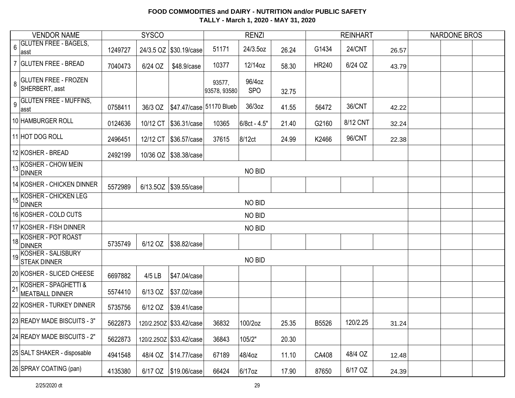|                | <b>VENDOR NAME</b><br><b>SYSCO</b>                               |         |         |                         |                          | <b>RENZI</b>         |       |              | <b>REINHART</b> |       | <b>NARDONE BROS</b> |  |
|----------------|------------------------------------------------------------------|---------|---------|-------------------------|--------------------------|----------------------|-------|--------------|-----------------|-------|---------------------|--|
| $6\phantom{a}$ | <b>GLUTEN FREE - BAGELS,</b><br>∣asst                            | 1249727 |         | 24/3.5 OZ \$30.19/case  | 51171                    | 24/3.5oz             | 26.24 | G1434        | <b>24/CNT</b>   | 26.57 |                     |  |
|                | 7 GLUTEN FREE - BREAD                                            | 7040473 | 6/24 OZ | \$48.9/case             | 10377                    | 12/14oz              | 58.30 | <b>HR240</b> | 6/24 OZ         | 43.79 |                     |  |
| 8              | <b>GLUTEN FREE - FROZEN</b><br>SHERBERT, asst                    |         |         |                         | 93577,<br>93578, 93580   | 96/4oz<br><b>SPO</b> | 32.75 |              |                 |       |                     |  |
| $\overline{9}$ | <b>GLUTEN FREE - MUFFINS,</b><br>asst                            | 0758411 | 36/3 OZ |                         | \$47.47/case 51170 Blueb | 36/3oz               | 41.55 | 56472        | 36/CNT          | 42.22 |                     |  |
|                | 10 HAMBURGER ROLL                                                | 0124636 |         | 10/12 CT \\$36.31/case  | 10365                    | 6/8ct - 4.5"         | 21.40 | G2160        | 8/12 CNT        | 32.24 |                     |  |
|                | 11 HOT DOG ROLL                                                  | 2496451 |         | 12/12 CT \\$36.57/case  | 37615                    | 8/12ct               | 24.99 | K2466        | 96/CNT          | 22.38 |                     |  |
|                | 12 KOSHER - BREAD                                                | 2492199 |         | 10/36 OZ   \$38.38/case |                          |                      |       |              |                 |       |                     |  |
|                | $\left  \frac{1}{3} \right $ KOSHER - CHOW MEIN<br><b>DINNER</b> |         |         |                         |                          | NO BID               |       |              |                 |       |                     |  |
|                | 14 KOSHER - CHICKEN DINNER                                       | 5572989 |         | 6/13.5OZ \\$39.55/case  |                          |                      |       |              |                 |       |                     |  |
|                | 15 KOSHER - CHICKEN LEG<br><b>DINNER</b>                         |         |         |                         |                          | NO BID               |       |              |                 |       |                     |  |
|                | 16 KOSHER - COLD CUTS                                            |         |         |                         |                          | NO BID               |       |              |                 |       |                     |  |
|                | 17 KOSHER - FISH DINNER                                          |         |         |                         |                          | NO BID               |       |              |                 |       |                     |  |
|                | 18 KOSHER - POT ROAST<br><b>DINNER</b>                           | 5735749 |         | 6/12 OZ   \$38.82/case  |                          |                      |       |              |                 |       |                     |  |
|                | 19 KOSHER - SALISBURY<br><b>STEAK DINNER</b>                     |         |         |                         |                          | NO BID               |       |              |                 |       |                     |  |
|                | 20 KOSHER - SLICED CHEESE                                        | 6697882 | 4/5 LB  | \$47.04/case            |                          |                      |       |              |                 |       |                     |  |
| 21             | KOSHER - SPAGHETTI &<br>MEATBALL DINNER                          | 5574410 | 6/13 OZ | \$37.02/case            |                          |                      |       |              |                 |       |                     |  |
|                | 22 KOSHER - TURKEY DINNER                                        | 5735756 | 6/12 OZ | \$39.41/case            |                          |                      |       |              |                 |       |                     |  |
|                | 23 READY MADE BISCUITS - 3"                                      | 5622873 |         | 120/2.25OZ \$33.42/case | 36832                    | 100/2oz              | 25.35 | B5526        | 120/2.25        | 31.24 |                     |  |
|                | 24 READY MADE BISCUITS - 2"                                      | 5622873 |         | 120/2.250Z \$33.42/case | 36843                    | 105/2"               | 20.30 |              |                 |       |                     |  |
|                | 25 SALT SHAKER - disposable                                      | 4941548 | 48/4 OZ | \$14.77/case            | 67189                    | 48/4oz               | 11.10 | CA408        | 48/4 OZ         | 12.48 |                     |  |
|                | 26 SPRAY COATING (pan)                                           | 4135380 | 6/17 OZ | \$19.06/case            | 66424                    | 6/17oz               | 17.90 | 87650        | 6/17 OZ         | 24.39 |                     |  |